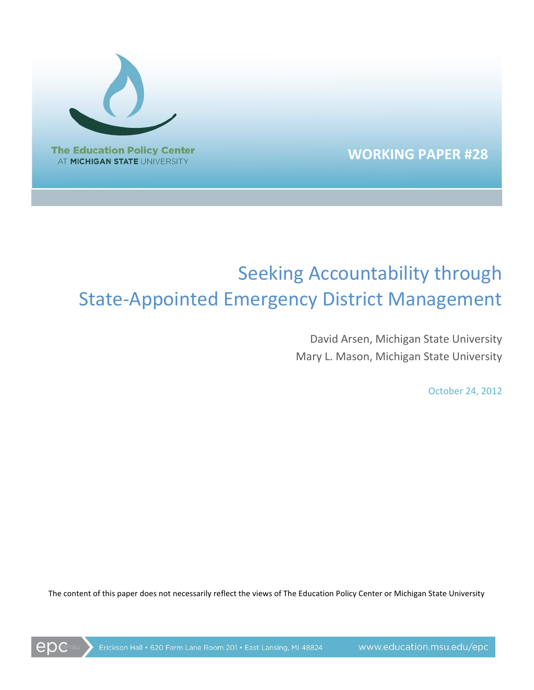

**WORKING PAPER #28**

# Seeking Accountability through State-Appointed Emergency District Management

David Arsen, Michigan State University Mary L. Mason, Michigan State University

October 24, 2012

The content of this paper does not necessarily reflect the views of The Education Policy Center or Michigan State University

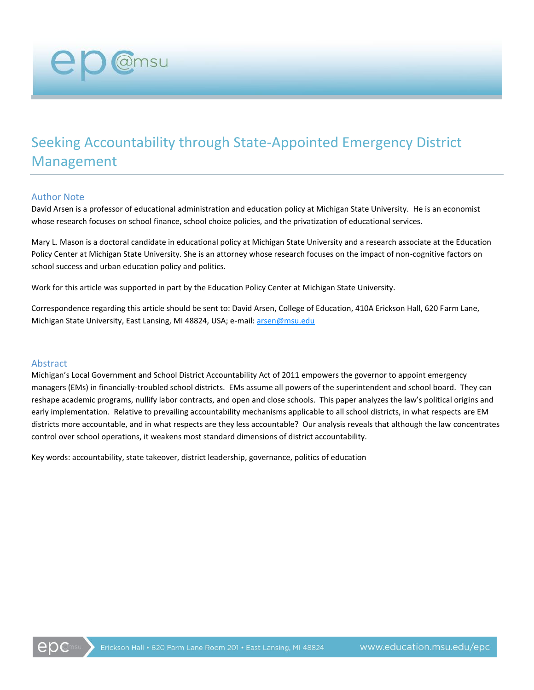# Seeking Accountability through State-Appointed Emergency District Management

#### Author Note

**ep** @msu

David Arsen is a professor of educational administration and education policy at Michigan State University. He is an economist whose research focuses on school finance, school choice policies, and the privatization of educational services.

Mary L. Mason is a doctoral candidate in educational policy at Michigan State University and a research associate at the Education Policy Center at Michigan State University. She is an attorney whose research focuses on the impact of non-cognitive factors on school success and urban education policy and politics.

Work for this article was supported in part by the Education Policy Center at Michigan State University.

Correspondence regarding this article should be sent to: David Arsen, College of Education, 410A Erickson Hall, 620 Farm Lane, Michigan State University, East Lansing, MI 48824, USA; e-mail[: arsen@msu.edu](mailto:arsen@msu.edu)

#### Abstract

Michigan's Local Government and School District Accountability Act of 2011 empowers the governor to appoint emergency managers (EMs) in financially-troubled school districts. EMs assume all powers of the superintendent and school board. They can reshape academic programs, nullify labor contracts, and open and close schools. This paper analyzes the law's political origins and early implementation. Relative to prevailing accountability mechanisms applicable to all school districts, in what respects are EM districts more accountable, and in what respects are they less accountable? Our analysis reveals that although the law concentrates control over school operations, it weakens most standard dimensions of district accountability.

Key words: accountability, state takeover, district leadership, governance, politics of education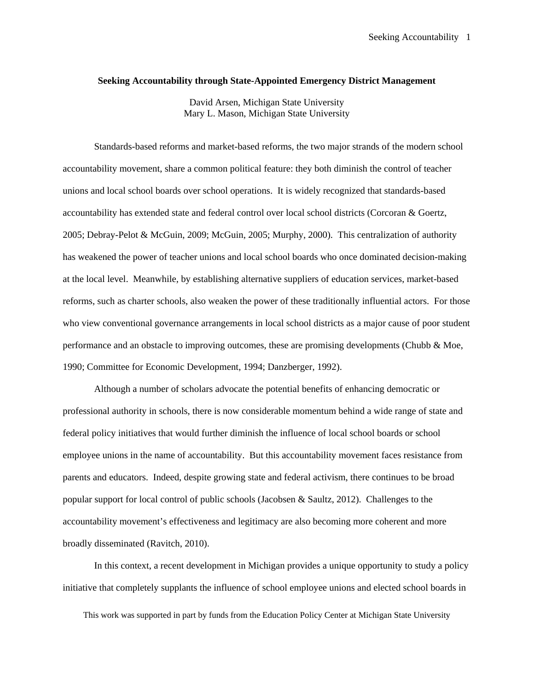#### **Seeking Accountability through State-Appointed Emergency District Management**

David Arsen, Michigan State University Mary L. Mason, Michigan State University

Standards-based reforms and market-based reforms, the two major strands of the modern school accountability movement, share a common political feature: they both diminish the control of teacher unions and local school boards over school operations. It is widely recognized that standards-based accountability has extended state and federal control over local school districts (Corcoran & Goertz, 2005; Debray-Pelot & McGuin, 2009; McGuin, 2005; Murphy, 2000). This centralization of authority has weakened the power of teacher unions and local school boards who once dominated decision-making at the local level. Meanwhile, by establishing alternative suppliers of education services, market-based reforms, such as charter schools, also weaken the power of these traditionally influential actors. For those who view conventional governance arrangements in local school districts as a major cause of poor student performance and an obstacle to improving outcomes, these are promising developments (Chubb & Moe, 1990; Committee for Economic Development, 1994; Danzberger, 1992).

Although a number of scholars advocate the potential benefits of enhancing democratic or professional authority in schools, there is now considerable momentum behind a wide range of state and federal policy initiatives that would further diminish the influence of local school boards or school employee unions in the name of accountability. But this accountability movement faces resistance from parents and educators. Indeed, despite growing state and federal activism, there continues to be broad popular support for local control of public schools (Jacobsen & Saultz, 2012). Challenges to the accountability movement's effectiveness and legitimacy are also becoming more coherent and more broadly disseminated (Ravitch, 2010).

In this context, a recent development in Michigan provides a unique opportunity to study a policy initiative that completely supplants the influence of school employee unions and elected school boards in

This work was supported in part by funds from the Education Policy Center at Michigan State University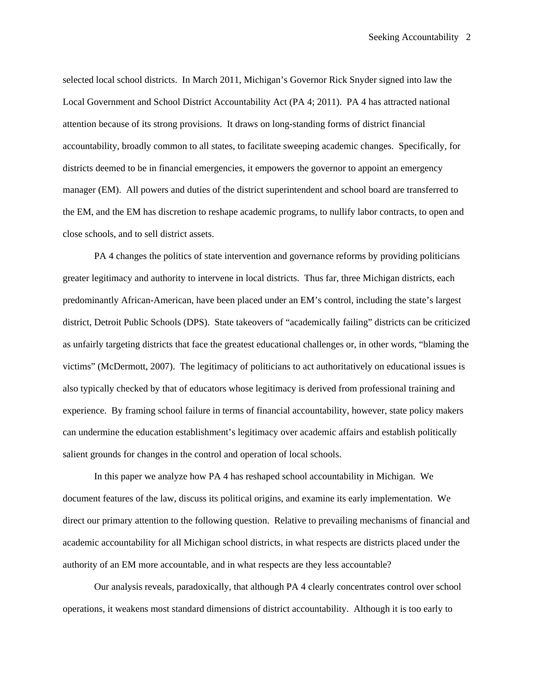selected local school districts. In March 2011, Michigan's Governor Rick Snyder signed into law the Local Government and School District Accountability Act (PA 4; 2011). PA 4 has attracted national attention because of its strong provisions. It draws on long-standing forms of district financial accountability, broadly common to all states, to facilitate sweeping academic changes. Specifically, for districts deemed to be in financial emergencies, it empowers the governor to appoint an emergency manager (EM). All powers and duties of the district superintendent and school board are transferred to the EM, and the EM has discretion to reshape academic programs, to nullify labor contracts, to open and close schools, and to sell district assets.

PA 4 changes the politics of state intervention and governance reforms by providing politicians greater legitimacy and authority to intervene in local districts. Thus far, three Michigan districts, each predominantly African-American, have been placed under an EM's control, including the state's largest district, Detroit Public Schools (DPS). State takeovers of "academically failing" districts can be criticized as unfairly targeting districts that face the greatest educational challenges or, in other words, "blaming the victims" (McDermott, 2007). The legitimacy of politicians to act authoritatively on educational issues is also typically checked by that of educators whose legitimacy is derived from professional training and experience. By framing school failure in terms of financial accountability, however, state policy makers can undermine the education establishment's legitimacy over academic affairs and establish politically salient grounds for changes in the control and operation of local schools.

In this paper we analyze how PA 4 has reshaped school accountability in Michigan. We document features of the law, discuss its political origins, and examine its early implementation. We direct our primary attention to the following question. Relative to prevailing mechanisms of financial and academic accountability for all Michigan school districts, in what respects are districts placed under the authority of an EM more accountable, and in what respects are they less accountable?

Our analysis reveals, paradoxically, that although PA 4 clearly concentrates control over school operations, it weakens most standard dimensions of district accountability. Although it is too early to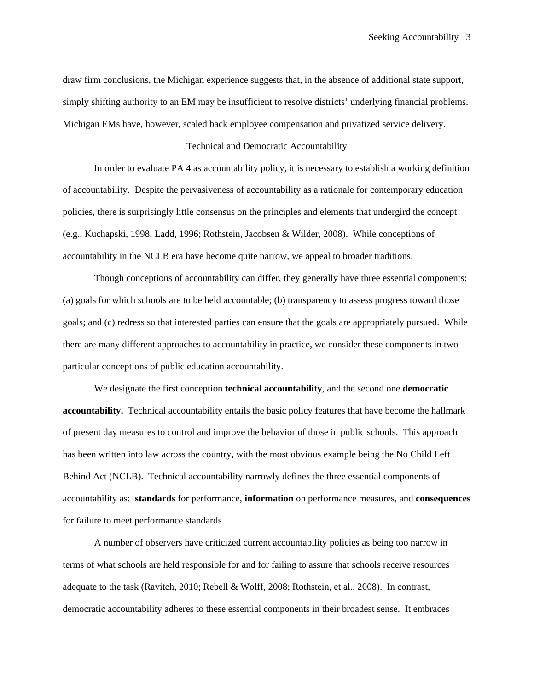draw firm conclusions, the Michigan experience suggests that, in the absence of additional state support, simply shifting authority to an EM may be insufficient to resolve districts' underlying financial problems. Michigan EMs have, however, scaled back employee compensation and privatized service delivery.

#### Technical and Democratic Accountability

In order to evaluate PA 4 as accountability policy, it is necessary to establish a working definition of accountability. Despite the pervasiveness of accountability as a rationale for contemporary education policies, there is surprisingly little consensus on the principles and elements that undergird the concept (e.g., Kuchapski, 1998; Ladd, 1996; Rothstein, Jacobsen & Wilder, 2008). While conceptions of accountability in the NCLB era have become quite narrow, we appeal to broader traditions.

Though conceptions of accountability can differ, they generally have three essential components: (a) goals for which schools are to be held accountable; (b) transparency to assess progress toward those goals; and (c) redress so that interested parties can ensure that the goals are appropriately pursued. While there are many different approaches to accountability in practice, we consider these components in two particular conceptions of public education accountability.

We designate the first conception **technical accountability**, and the second one **democratic accountability.** Technical accountability entails the basic policy features that have become the hallmark of present day measures to control and improve the behavior of those in public schools. This approach has been written into law across the country, with the most obvious example being the No Child Left Behind Act (NCLB). Technical accountability narrowly defines the three essential components of accountability as: **standards** for performance, **information** on performance measures, and **consequences** for failure to meet performance standards.

A number of observers have criticized current accountability policies as being too narrow in terms of what schools are held responsible for and for failing to assure that schools receive resources adequate to the task (Ravitch, 2010; Rebell & Wolff, 2008; Rothstein, et al., 2008). In contrast, democratic accountability adheres to these essential components in their broadest sense. It embraces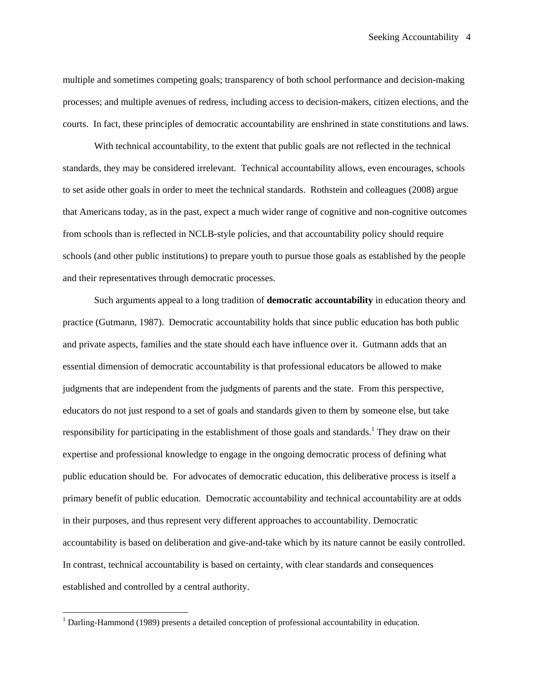multiple and sometimes competing goals; transparency of both school performance and decision-making processes; and multiple avenues of redress, including access to decision-makers, citizen elections, and the courts. In fact, these principles of democratic accountability are enshrined in state constitutions and laws.

With technical accountability, to the extent that public goals are not reflected in the technical standards, they may be considered irrelevant. Technical accountability allows, even encourages, schools to set aside other goals in order to meet the technical standards. Rothstein and colleagues (2008) argue that Americans today, as in the past, expect a much wider range of cognitive and non-cognitive outcomes from schools than is reflected in NCLB-style policies, and that accountability policy should require schools (and other public institutions) to prepare youth to pursue those goals as established by the people and their representatives through democratic processes.

Such arguments appeal to a long tradition of **democratic accountability** in education theory and practice (Gutmann, 1987). Democratic accountability holds that since public education has both public and private aspects, families and the state should each have influence over it. Gutmann adds that an essential dimension of democratic accountability is that professional educators be allowed to make judgments that are independent from the judgments of parents and the state. From this perspective, educators do not just respond to a set of goals and standards given to them by someone else, but take responsibility for participating in the establishment of those goals and standards.<sup>1</sup> They draw on their expertise and professional knowledge to engage in the ongoing democratic process of defining what public education should be. For advocates of democratic education, this deliberative process is itself a primary benefit of public education. Democratic accountability and technical accountability are at odds in their purposes, and thus represent very different approaches to accountability. Democratic accountability is based on deliberation and give-and-take which by its nature cannot be easily controlled. In contrast, technical accountability is based on certainty, with clear standards and consequences established and controlled by a central authority.

<sup>&</sup>lt;sup>1</sup> Darling-Hammond (1989) presents a detailed conception of professional accountability in education.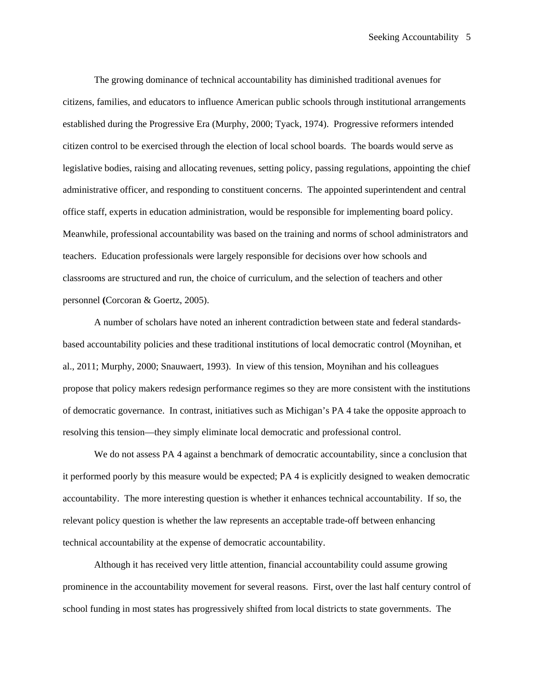The growing dominance of technical accountability has diminished traditional avenues for citizens, families, and educators to influence American public schools through institutional arrangements established during the Progressive Era (Murphy, 2000; Tyack, 1974). Progressive reformers intended citizen control to be exercised through the election of local school boards. The boards would serve as legislative bodies, raising and allocating revenues, setting policy, passing regulations, appointing the chief administrative officer, and responding to constituent concerns. The appointed superintendent and central office staff, experts in education administration, would be responsible for implementing board policy. Meanwhile, professional accountability was based on the training and norms of school administrators and teachers. Education professionals were largely responsible for decisions over how schools and classrooms are structured and run, the choice of curriculum, and the selection of teachers and other personnel **(**Corcoran & Goertz, 2005).

A number of scholars have noted an inherent contradiction between state and federal standardsbased accountability policies and these traditional institutions of local democratic control (Moynihan, et al., 2011; Murphy, 2000; Snauwaert, 1993). In view of this tension, Moynihan and his colleagues propose that policy makers redesign performance regimes so they are more consistent with the institutions of democratic governance. In contrast, initiatives such as Michigan's PA 4 take the opposite approach to resolving this tension—they simply eliminate local democratic and professional control.

We do not assess PA 4 against a benchmark of democratic accountability, since a conclusion that it performed poorly by this measure would be expected; PA 4 is explicitly designed to weaken democratic accountability. The more interesting question is whether it enhances technical accountability. If so, the relevant policy question is whether the law represents an acceptable trade-off between enhancing technical accountability at the expense of democratic accountability.

Although it has received very little attention, financial accountability could assume growing prominence in the accountability movement for several reasons. First, over the last half century control of school funding in most states has progressively shifted from local districts to state governments. The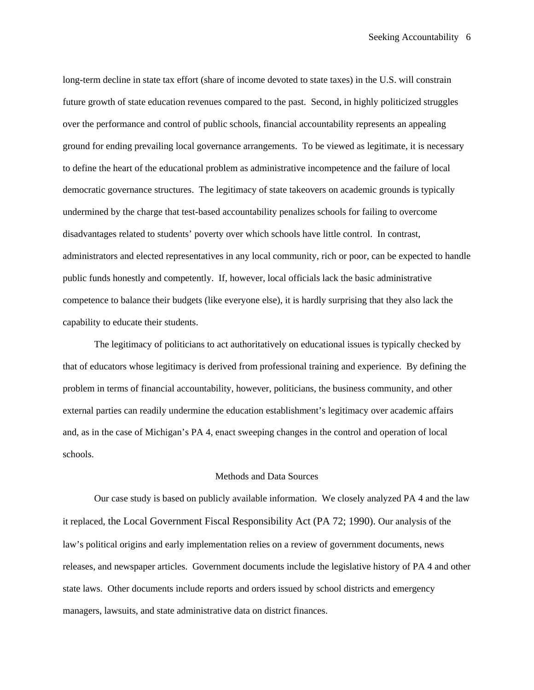long-term decline in state tax effort (share of income devoted to state taxes) in the U.S. will constrain future growth of state education revenues compared to the past. Second, in highly politicized struggles over the performance and control of public schools, financial accountability represents an appealing ground for ending prevailing local governance arrangements. To be viewed as legitimate, it is necessary to define the heart of the educational problem as administrative incompetence and the failure of local democratic governance structures. The legitimacy of state takeovers on academic grounds is typically undermined by the charge that test-based accountability penalizes schools for failing to overcome disadvantages related to students' poverty over which schools have little control. In contrast, administrators and elected representatives in any local community, rich or poor, can be expected to handle public funds honestly and competently. If, however, local officials lack the basic administrative competence to balance their budgets (like everyone else), it is hardly surprising that they also lack the capability to educate their students.

The legitimacy of politicians to act authoritatively on educational issues is typically checked by that of educators whose legitimacy is derived from professional training and experience. By defining the problem in terms of financial accountability, however, politicians, the business community, and other external parties can readily undermine the education establishment's legitimacy over academic affairs and, as in the case of Michigan's PA 4, enact sweeping changes in the control and operation of local schools.

#### Methods and Data Sources

Our case study is based on publicly available information. We closely analyzed PA 4 and the law it replaced, the Local Government Fiscal Responsibility Act (PA 72; 1990). Our analysis of the law's political origins and early implementation relies on a review of government documents, news releases, and newspaper articles. Government documents include the legislative history of PA 4 and other state laws. Other documents include reports and orders issued by school districts and emergency managers, lawsuits, and state administrative data on district finances.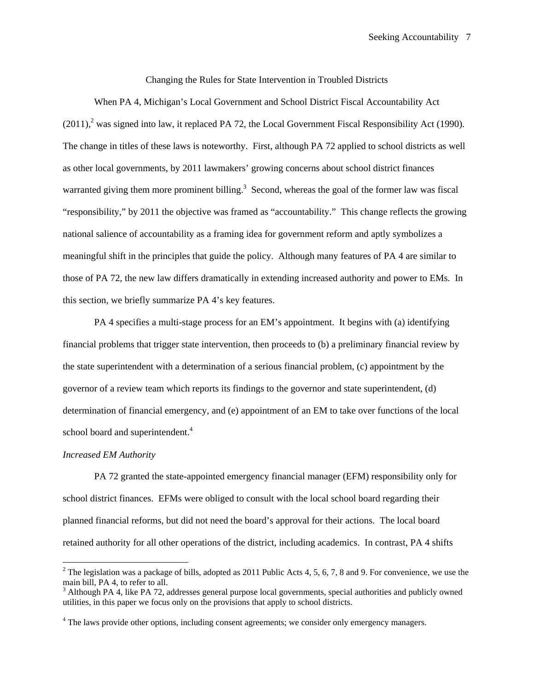Changing the Rules for State Intervention in Troubled Districts

When PA 4, Michigan's Local Government and School District Fiscal Accountability Act  $(2011)$ ,<sup>2</sup> was signed into law, it replaced PA 72, the Local Government Fiscal Responsibility Act (1990). The change in titles of these laws is noteworthy. First, although PA 72 applied to school districts as well as other local governments, by 2011 lawmakers' growing concerns about school district finances warranted giving them more prominent billing.<sup>3</sup> Second, whereas the goal of the former law was fiscal "responsibility," by 2011 the objective was framed as "accountability." This change reflects the growing national salience of accountability as a framing idea for government reform and aptly symbolizes a meaningful shift in the principles that guide the policy. Although many features of PA 4 are similar to those of PA 72, the new law differs dramatically in extending increased authority and power to EMs. In this section, we briefly summarize PA 4's key features.

PA 4 specifies a multi-stage process for an EM's appointment. It begins with (a) identifying financial problems that trigger state intervention, then proceeds to (b) a preliminary financial review by the state superintendent with a determination of a serious financial problem, (c) appointment by the governor of a review team which reports its findings to the governor and state superintendent, (d) determination of financial emergency, and (e) appointment of an EM to take over functions of the local school board and superintendent.<sup>4</sup>

#### *Increased EM Authority*

PA 72 granted the state-appointed emergency financial manager (EFM) responsibility only for school district finances. EFMs were obliged to consult with the local school board regarding their planned financial reforms, but did not need the board's approval for their actions. The local board retained authority for all other operations of the district, including academics. In contrast, PA 4 shifts

<sup>&</sup>lt;sup>2</sup> The legislation was a package of bills, adopted as 2011 Public Acts 4, 5, 6, 7, 8 and 9. For convenience, we use the main bill, PA 4, to refer to all.

 $3$  Although PA 4, like PA 72, addresses general purpose local governments, special authorities and publicly owned utilities, in this paper we focus only on the provisions that apply to school districts.

<sup>&</sup>lt;sup>4</sup> The laws provide other options, including consent agreements; we consider only emergency managers.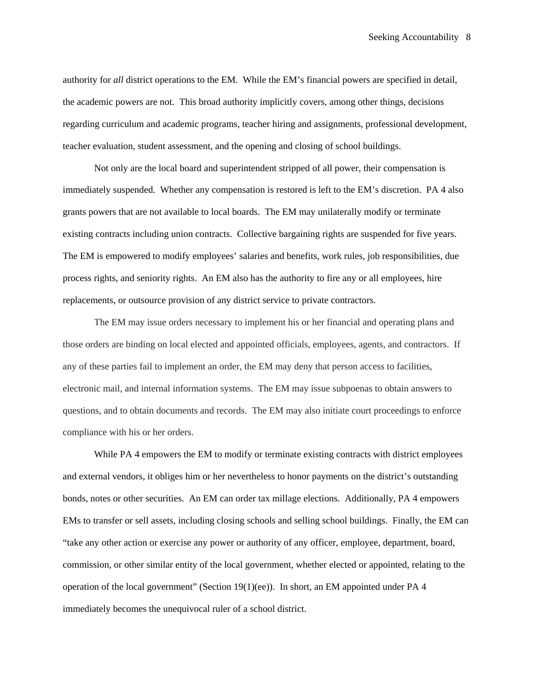authority for *all* district operations to the EM. While the EM's financial powers are specified in detail, the academic powers are not. This broad authority implicitly covers, among other things, decisions regarding curriculum and academic programs, teacher hiring and assignments, professional development, teacher evaluation, student assessment, and the opening and closing of school buildings.

Not only are the local board and superintendent stripped of all power, their compensation is immediately suspended. Whether any compensation is restored is left to the EM's discretion. PA 4 also grants powers that are not available to local boards. The EM may unilaterally modify or terminate existing contracts including union contracts. Collective bargaining rights are suspended for five years. The EM is empowered to modify employees' salaries and benefits, work rules, job responsibilities, due process rights, and seniority rights. An EM also has the authority to fire any or all employees, hire replacements, or outsource provision of any district service to private contractors.

The EM may issue orders necessary to implement his or her financial and operating plans and those orders are binding on local elected and appointed officials, employees, agents, and contractors. If any of these parties fail to implement an order, the EM may deny that person access to facilities, electronic mail, and internal information systems. The EM may issue subpoenas to obtain answers to questions, and to obtain documents and records. The EM may also initiate court proceedings to enforce compliance with his or her orders.

While PA 4 empowers the EM to modify or terminate existing contracts with district employees and external vendors, it obliges him or her nevertheless to honor payments on the district's outstanding bonds, notes or other securities. An EM can order tax millage elections. Additionally, PA 4 empowers EMs to transfer or sell assets, including closing schools and selling school buildings. Finally, the EM can "take any other action or exercise any power or authority of any officer, employee, department, board, commission, or other similar entity of the local government, whether elected or appointed, relating to the operation of the local government" (Section 19(1)(ee)). In short, an EM appointed under PA 4 immediately becomes the unequivocal ruler of a school district.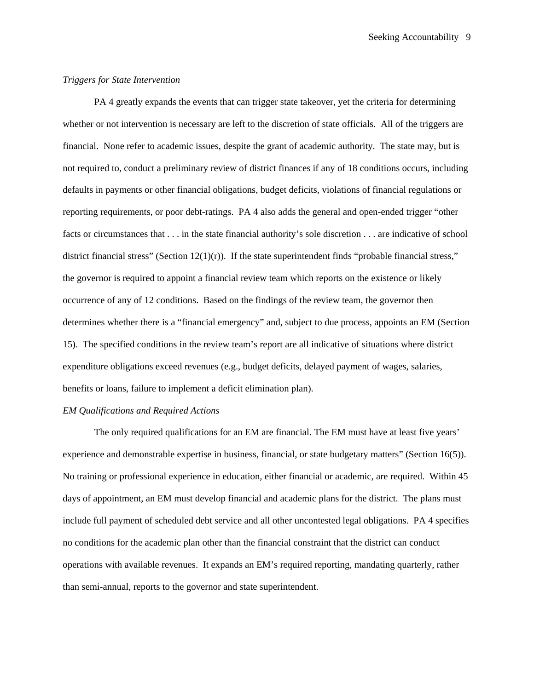#### *Triggers for State Intervention*

PA 4 greatly expands the events that can trigger state takeover, yet the criteria for determining whether or not intervention is necessary are left to the discretion of state officials. All of the triggers are financial. None refer to academic issues, despite the grant of academic authority. The state may, but is not required to, conduct a preliminary review of district finances if any of 18 conditions occurs, including defaults in payments or other financial obligations, budget deficits, violations of financial regulations or reporting requirements, or poor debt-ratings. PA 4 also adds the general and open-ended trigger "other facts or circumstances that . . . in the state financial authority's sole discretion . . . are indicative of school district financial stress" (Section  $12(1)(r)$ ). If the state superintendent finds "probable financial stress," the governor is required to appoint a financial review team which reports on the existence or likely occurrence of any of 12 conditions. Based on the findings of the review team, the governor then determines whether there is a "financial emergency" and, subject to due process, appoints an EM (Section 15). The specified conditions in the review team's report are all indicative of situations where district expenditure obligations exceed revenues (e.g., budget deficits, delayed payment of wages, salaries, benefits or loans, failure to implement a deficit elimination plan).

# *EM Qualifications and Required Actions*

The only required qualifications for an EM are financial. The EM must have at least five years' experience and demonstrable expertise in business, financial, or state budgetary matters" (Section 16(5)). No training or professional experience in education, either financial or academic, are required. Within 45 days of appointment, an EM must develop financial and academic plans for the district. The plans must include full payment of scheduled debt service and all other uncontested legal obligations. PA 4 specifies no conditions for the academic plan other than the financial constraint that the district can conduct operations with available revenues. It expands an EM's required reporting, mandating quarterly, rather than semi-annual, reports to the governor and state superintendent.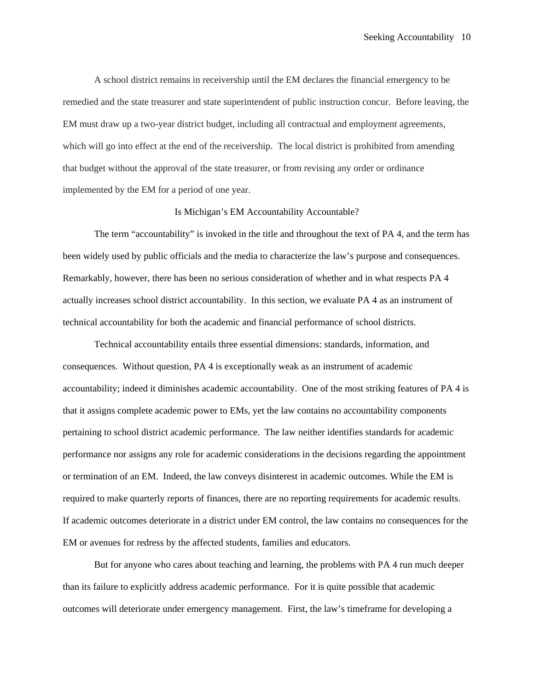A school district remains in receivership until the EM declares the financial emergency to be remedied and the state treasurer and state superintendent of public instruction concur. Before leaving, the EM must draw up a two-year district budget, including all contractual and employment agreements, which will go into effect at the end of the receivership. The local district is prohibited from amending that budget without the approval of the state treasurer, or from revising any order or ordinance implemented by the EM for a period of one year.

#### Is Michigan's EM Accountability Accountable?

The term "accountability" is invoked in the title and throughout the text of PA 4, and the term has been widely used by public officials and the media to characterize the law's purpose and consequences. Remarkably, however, there has been no serious consideration of whether and in what respects PA 4 actually increases school district accountability. In this section, we evaluate PA 4 as an instrument of technical accountability for both the academic and financial performance of school districts.

Technical accountability entails three essential dimensions: standards, information, and consequences. Without question, PA 4 is exceptionally weak as an instrument of academic accountability; indeed it diminishes academic accountability. One of the most striking features of PA 4 is that it assigns complete academic power to EMs, yet the law contains no accountability components pertaining to school district academic performance. The law neither identifies standards for academic performance nor assigns any role for academic considerations in the decisions regarding the appointment or termination of an EM. Indeed, the law conveys disinterest in academic outcomes. While the EM is required to make quarterly reports of finances, there are no reporting requirements for academic results. If academic outcomes deteriorate in a district under EM control, the law contains no consequences for the EM or avenues for redress by the affected students, families and educators.

But for anyone who cares about teaching and learning, the problems with PA 4 run much deeper than its failure to explicitly address academic performance. For it is quite possible that academic outcomes will deteriorate under emergency management. First, the law's timeframe for developing a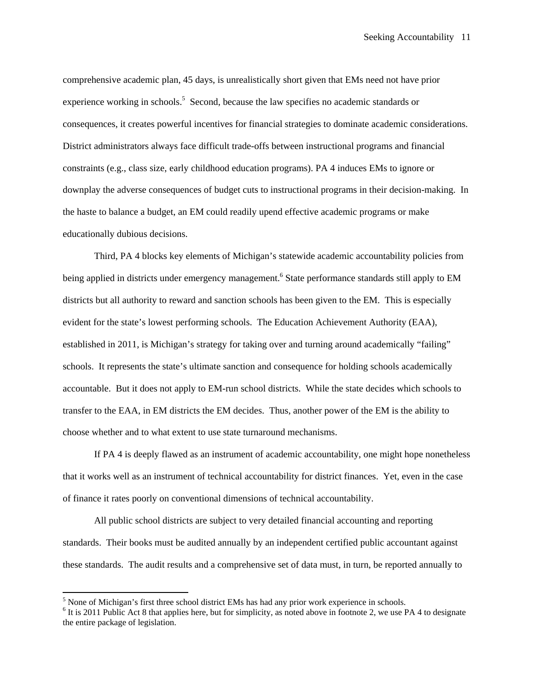comprehensive academic plan, 45 days, is unrealistically short given that EMs need not have prior experience working in schools.<sup>5</sup> Second, because the law specifies no academic standards or consequences, it creates powerful incentives for financial strategies to dominate academic considerations. District administrators always face difficult trade-offs between instructional programs and financial constraints (e.g., class size, early childhood education programs). PA 4 induces EMs to ignore or downplay the adverse consequences of budget cuts to instructional programs in their decision-making. In the haste to balance a budget, an EM could readily upend effective academic programs or make educationally dubious decisions.

Third, PA 4 blocks key elements of Michigan's statewide academic accountability policies from being applied in districts under emergency management.<sup>6</sup> State performance standards still apply to EM districts but all authority to reward and sanction schools has been given to the EM. This is especially evident for the state's lowest performing schools. The Education Achievement Authority (EAA), established in 2011, is Michigan's strategy for taking over and turning around academically "failing" schools. It represents the state's ultimate sanction and consequence for holding schools academically accountable. But it does not apply to EM-run school districts. While the state decides which schools to transfer to the EAA, in EM districts the EM decides. Thus, another power of the EM is the ability to choose whether and to what extent to use state turnaround mechanisms.

If PA 4 is deeply flawed as an instrument of academic accountability, one might hope nonetheless that it works well as an instrument of technical accountability for district finances. Yet, even in the case of finance it rates poorly on conventional dimensions of technical accountability.

All public school districts are subject to very detailed financial accounting and reporting standards. Their books must be audited annually by an independent certified public accountant against these standards. The audit results and a comprehensive set of data must, in turn, be reported annually to

 $<sup>5</sup>$  None of Michigan's first three school district EMs has had any prior work experience in schools.</sup>

 $6$  It is 2011 Public Act 8 that applies here, but for simplicity, as noted above in footnote 2, we use PA 4 to designate the entire package of legislation.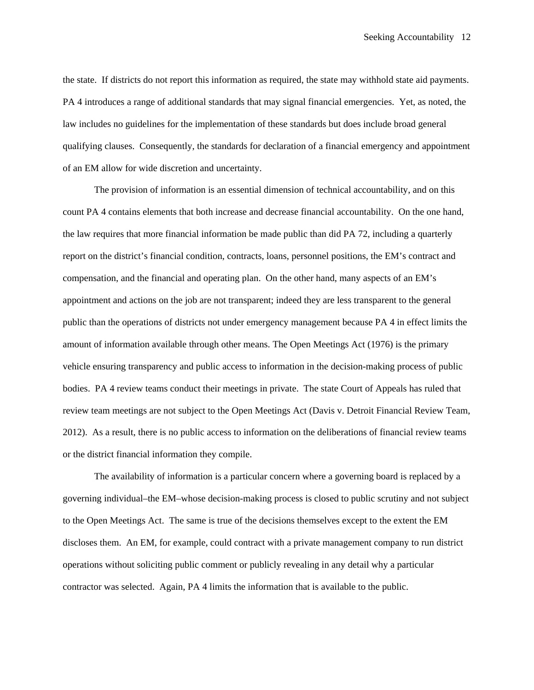the state. If districts do not report this information as required, the state may withhold state aid payments. PA 4 introduces a range of additional standards that may signal financial emergencies. Yet, as noted, the law includes no guidelines for the implementation of these standards but does include broad general qualifying clauses. Consequently, the standards for declaration of a financial emergency and appointment of an EM allow for wide discretion and uncertainty.

The provision of information is an essential dimension of technical accountability, and on this count PA 4 contains elements that both increase and decrease financial accountability. On the one hand, the law requires that more financial information be made public than did PA 72, including a quarterly report on the district's financial condition, contracts, loans, personnel positions, the EM's contract and compensation, and the financial and operating plan. On the other hand, many aspects of an EM's appointment and actions on the job are not transparent; indeed they are less transparent to the general public than the operations of districts not under emergency management because PA 4 in effect limits the amount of information available through other means. The Open Meetings Act (1976) is the primary vehicle ensuring transparency and public access to information in the decision-making process of public bodies. PA 4 review teams conduct their meetings in private. The state Court of Appeals has ruled that review team meetings are not subject to the Open Meetings Act (Davis v. Detroit Financial Review Team, 2012). As a result, there is no public access to information on the deliberations of financial review teams or the district financial information they compile.

The availability of information is a particular concern where a governing board is replaced by a governing individual–the EM–whose decision-making process is closed to public scrutiny and not subject to the Open Meetings Act. The same is true of the decisions themselves except to the extent the EM discloses them. An EM, for example, could contract with a private management company to run district operations without soliciting public comment or publicly revealing in any detail why a particular contractor was selected. Again, PA 4 limits the information that is available to the public.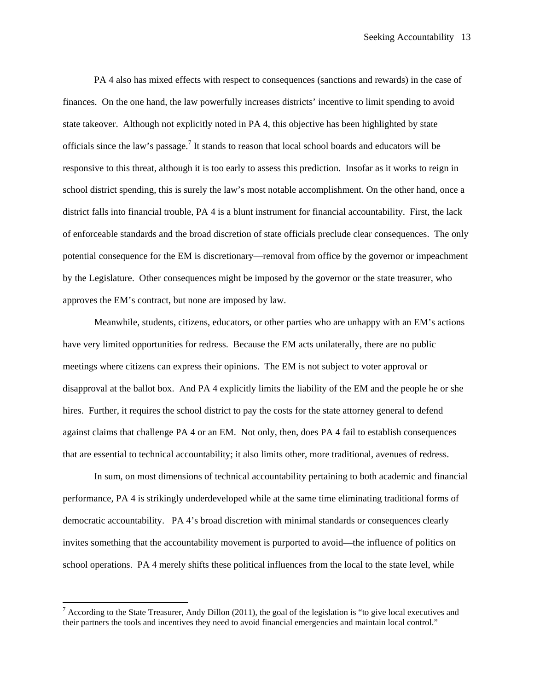PA 4 also has mixed effects with respect to consequences (sanctions and rewards) in the case of finances. On the one hand, the law powerfully increases districts' incentive to limit spending to avoid state takeover. Although not explicitly noted in PA 4, this objective has been highlighted by state officials since the law's passage.<sup>7</sup> It stands to reason that local school boards and educators will be responsive to this threat, although it is too early to assess this prediction. Insofar as it works to reign in school district spending, this is surely the law's most notable accomplishment. On the other hand, once a district falls into financial trouble, PA 4 is a blunt instrument for financial accountability. First, the lack of enforceable standards and the broad discretion of state officials preclude clear consequences. The only potential consequence for the EM is discretionary—removal from office by the governor or impeachment by the Legislature. Other consequences might be imposed by the governor or the state treasurer, who approves the EM's contract, but none are imposed by law.

Meanwhile, students, citizens, educators, or other parties who are unhappy with an EM's actions have very limited opportunities for redress. Because the EM acts unilaterally, there are no public meetings where citizens can express their opinions. The EM is not subject to voter approval or disapproval at the ballot box. And PA 4 explicitly limits the liability of the EM and the people he or she hires. Further, it requires the school district to pay the costs for the state attorney general to defend against claims that challenge PA 4 or an EM. Not only, then, does PA 4 fail to establish consequences that are essential to technical accountability; it also limits other, more traditional, avenues of redress.

In sum, on most dimensions of technical accountability pertaining to both academic and financial performance, PA 4 is strikingly underdeveloped while at the same time eliminating traditional forms of democratic accountability. PA 4's broad discretion with minimal standards or consequences clearly invites something that the accountability movement is purported to avoid—the influence of politics on school operations. PA 4 merely shifts these political influences from the local to the state level, while

 $^7$  According to the State Treasurer, Andy Dillon (2011), the goal of the legislation is "to give local executives and their partners the tools and incentives they need to avoid financial emergencies and maintain local control."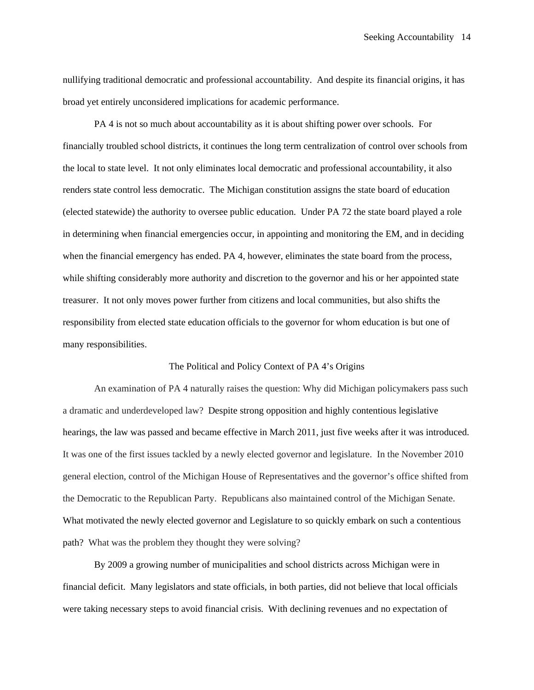nullifying traditional democratic and professional accountability. And despite its financial origins, it has broad yet entirely unconsidered implications for academic performance.

PA 4 is not so much about accountability as it is about shifting power over schools. For financially troubled school districts, it continues the long term centralization of control over schools from the local to state level. It not only eliminates local democratic and professional accountability, it also renders state control less democratic. The Michigan constitution assigns the state board of education (elected statewide) the authority to oversee public education. Under PA 72 the state board played a role in determining when financial emergencies occur, in appointing and monitoring the EM, and in deciding when the financial emergency has ended. PA 4, however, eliminates the state board from the process, while shifting considerably more authority and discretion to the governor and his or her appointed state treasurer. It not only moves power further from citizens and local communities, but also shifts the responsibility from elected state education officials to the governor for whom education is but one of many responsibilities.

#### The Political and Policy Context of PA 4's Origins

An examination of PA 4 naturally raises the question: Why did Michigan policymakers pass such a dramatic and underdeveloped law? Despite strong opposition and highly contentious legislative hearings, the law was passed and became effective in March 2011, just five weeks after it was introduced. It was one of the first issues tackled by a newly elected governor and legislature. In the November 2010 general election, control of the Michigan House of Representatives and the governor's office shifted from the Democratic to the Republican Party. Republicans also maintained control of the Michigan Senate. What motivated the newly elected governor and Legislature to so quickly embark on such a contentious path? What was the problem they thought they were solving?

By 2009 a growing number of municipalities and school districts across Michigan were in financial deficit. Many legislators and state officials, in both parties, did not believe that local officials were taking necessary steps to avoid financial crisis. With declining revenues and no expectation of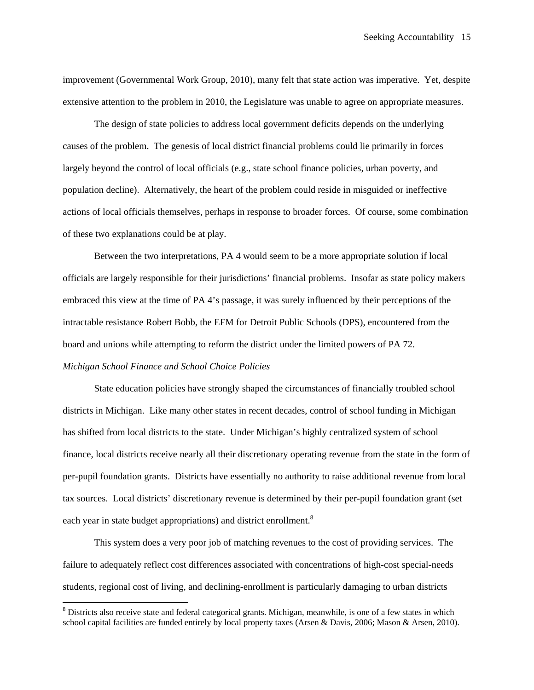improvement (Governmental Work Group, 2010), many felt that state action was imperative. Yet, despite extensive attention to the problem in 2010, the Legislature was unable to agree on appropriate measures.

The design of state policies to address local government deficits depends on the underlying causes of the problem. The genesis of local district financial problems could lie primarily in forces largely beyond the control of local officials (e.g., state school finance policies, urban poverty, and population decline). Alternatively, the heart of the problem could reside in misguided or ineffective actions of local officials themselves, perhaps in response to broader forces. Of course, some combination of these two explanations could be at play.

Between the two interpretations, PA 4 would seem to be a more appropriate solution if local officials are largely responsible for their jurisdictions' financial problems. Insofar as state policy makers embraced this view at the time of PA 4's passage, it was surely influenced by their perceptions of the intractable resistance Robert Bobb, the EFM for Detroit Public Schools (DPS), encountered from the board and unions while attempting to reform the district under the limited powers of PA 72. *Michigan School Finance and School Choice Policies* 

State education policies have strongly shaped the circumstances of financially troubled school districts in Michigan. Like many other states in recent decades, control of school funding in Michigan has shifted from local districts to the state. Under Michigan's highly centralized system of school finance, local districts receive nearly all their discretionary operating revenue from the state in the form of per-pupil foundation grants. Districts have essentially no authority to raise additional revenue from local tax sources. Local districts' discretionary revenue is determined by their per-pupil foundation grant (set each year in state budget appropriations) and district enrollment.<sup>8</sup>

This system does a very poor job of matching revenues to the cost of providing services. The failure to adequately reflect cost differences associated with concentrations of high-cost special-needs students, regional cost of living, and declining-enrollment is particularly damaging to urban districts

<sup>&</sup>lt;sup>8</sup> Districts also receive state and federal categorical grants. Michigan, meanwhile, is one of a few states in which school capital facilities are funded entirely by local property taxes (Arsen & Davis, 2006; Mason & Arsen, 2010).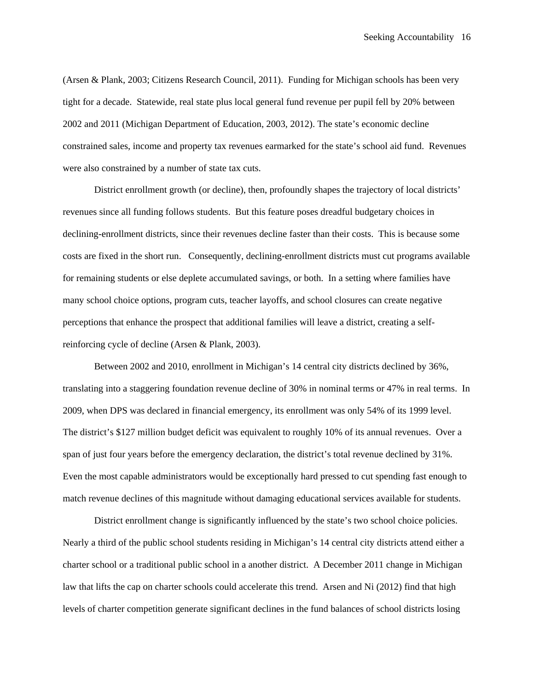(Arsen & Plank, 2003; Citizens Research Council, 2011). Funding for Michigan schools has been very tight for a decade. Statewide, real state plus local general fund revenue per pupil fell by 20% between 2002 and 2011 (Michigan Department of Education, 2003, 2012). The state's economic decline constrained sales, income and property tax revenues earmarked for the state's school aid fund. Revenues were also constrained by a number of state tax cuts.

District enrollment growth (or decline), then, profoundly shapes the trajectory of local districts' revenues since all funding follows students. But this feature poses dreadful budgetary choices in declining-enrollment districts, since their revenues decline faster than their costs. This is because some costs are fixed in the short run. Consequently, declining-enrollment districts must cut programs available for remaining students or else deplete accumulated savings, or both. In a setting where families have many school choice options, program cuts, teacher layoffs, and school closures can create negative perceptions that enhance the prospect that additional families will leave a district, creating a selfreinforcing cycle of decline (Arsen & Plank, 2003).

Between 2002 and 2010, enrollment in Michigan's 14 central city districts declined by 36%, translating into a staggering foundation revenue decline of 30% in nominal terms or 47% in real terms. In 2009, when DPS was declared in financial emergency, its enrollment was only 54% of its 1999 level. The district's \$127 million budget deficit was equivalent to roughly 10% of its annual revenues. Over a span of just four years before the emergency declaration, the district's total revenue declined by 31%. Even the most capable administrators would be exceptionally hard pressed to cut spending fast enough to match revenue declines of this magnitude without damaging educational services available for students.

District enrollment change is significantly influenced by the state's two school choice policies. Nearly a third of the public school students residing in Michigan's 14 central city districts attend either a charter school or a traditional public school in a another district. A December 2011 change in Michigan law that lifts the cap on charter schools could accelerate this trend. Arsen and Ni (2012) find that high levels of charter competition generate significant declines in the fund balances of school districts losing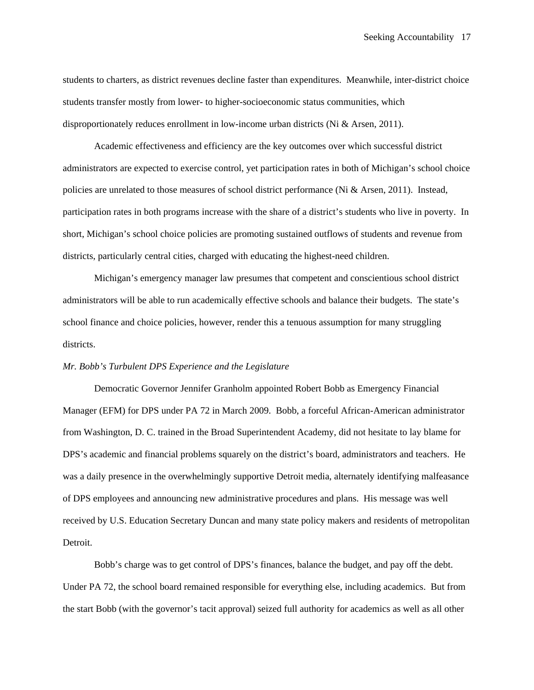students to charters, as district revenues decline faster than expenditures. Meanwhile, inter-district choice students transfer mostly from lower- to higher-socioeconomic status communities, which disproportionately reduces enrollment in low-income urban districts (Ni & Arsen, 2011).

Academic effectiveness and efficiency are the key outcomes over which successful district administrators are expected to exercise control, yet participation rates in both of Michigan's school choice policies are unrelated to those measures of school district performance (Ni & Arsen, 2011). Instead, participation rates in both programs increase with the share of a district's students who live in poverty. In short, Michigan's school choice policies are promoting sustained outflows of students and revenue from districts, particularly central cities, charged with educating the highest-need children.

Michigan's emergency manager law presumes that competent and conscientious school district administrators will be able to run academically effective schools and balance their budgets. The state's school finance and choice policies, however, render this a tenuous assumption for many struggling districts.

# *Mr. Bobb's Turbulent DPS Experience and the Legislature*

Democratic Governor Jennifer Granholm appointed Robert Bobb as Emergency Financial Manager (EFM) for DPS under PA 72 in March 2009. Bobb, a forceful African-American administrator from Washington, D. C. trained in the Broad Superintendent Academy, did not hesitate to lay blame for DPS's academic and financial problems squarely on the district's board, administrators and teachers. He was a daily presence in the overwhelmingly supportive Detroit media, alternately identifying malfeasance of DPS employees and announcing new administrative procedures and plans. His message was well received by U.S. Education Secretary Duncan and many state policy makers and residents of metropolitan Detroit.

Bobb's charge was to get control of DPS's finances, balance the budget, and pay off the debt. Under PA 72, the school board remained responsible for everything else, including academics. But from the start Bobb (with the governor's tacit approval) seized full authority for academics as well as all other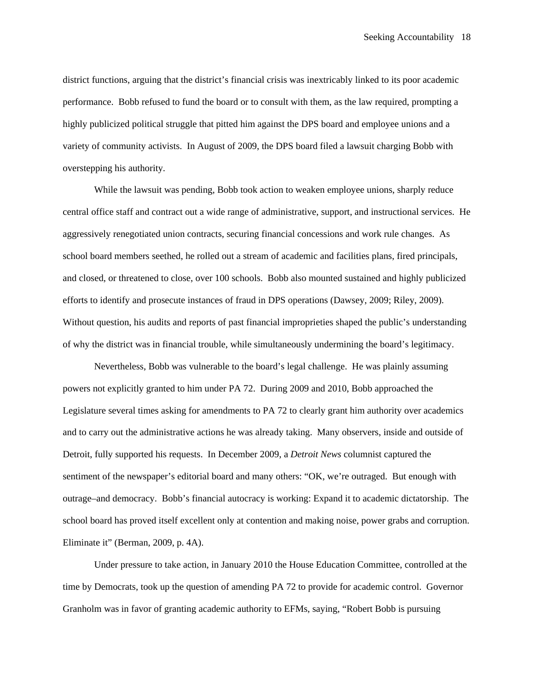district functions, arguing that the district's financial crisis was inextricably linked to its poor academic performance. Bobb refused to fund the board or to consult with them, as the law required, prompting a highly publicized political struggle that pitted him against the DPS board and employee unions and a variety of community activists. In August of 2009, the DPS board filed a lawsuit charging Bobb with overstepping his authority.

While the lawsuit was pending, Bobb took action to weaken employee unions, sharply reduce central office staff and contract out a wide range of administrative, support, and instructional services. He aggressively renegotiated union contracts, securing financial concessions and work rule changes. As school board members seethed, he rolled out a stream of academic and facilities plans, fired principals, and closed, or threatened to close, over 100 schools. Bobb also mounted sustained and highly publicized efforts to identify and prosecute instances of fraud in DPS operations (Dawsey, 2009; Riley, 2009). Without question, his audits and reports of past financial improprieties shaped the public's understanding of why the district was in financial trouble, while simultaneously undermining the board's legitimacy.

Nevertheless, Bobb was vulnerable to the board's legal challenge. He was plainly assuming powers not explicitly granted to him under PA 72. During 2009 and 2010, Bobb approached the Legislature several times asking for amendments to PA 72 to clearly grant him authority over academics and to carry out the administrative actions he was already taking. Many observers, inside and outside of Detroit, fully supported his requests. In December 2009, a *Detroit News* columnist captured the sentiment of the newspaper's editorial board and many others: "OK, we're outraged. But enough with outrage–and democracy. Bobb's financial autocracy is working: Expand it to academic dictatorship. The school board has proved itself excellent only at contention and making noise, power grabs and corruption. Eliminate it" (Berman, 2009, p. 4A).

Under pressure to take action, in January 2010 the House Education Committee, controlled at the time by Democrats, took up the question of amending PA 72 to provide for academic control. Governor Granholm was in favor of granting academic authority to EFMs, saying, "Robert Bobb is pursuing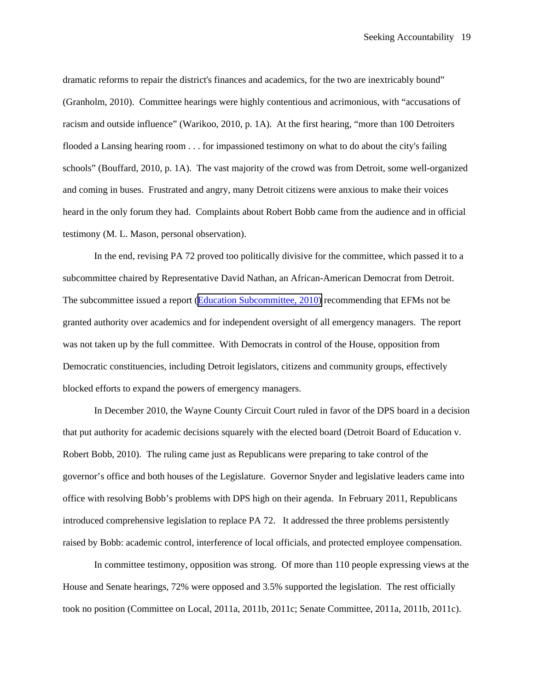dramatic reforms to repair the district's finances and academics, for the two are inextricably bound" (Granholm, 2010). Committee hearings were highly contentious and acrimonious, with "accusations of racism and outside influence" (Warikoo, 2010, p. 1A). At the first hearing, "more than 100 Detroiters flooded a Lansing hearing room . . . for impassioned testimony on what to do about the city's failing schools" (Bouffard, 2010, p. 1A). The vast majority of the crowd was from Detroit, some well-organized and coming in buses. Frustrated and angry, many Detroit citizens were anxious to make their voices heard in the only forum they had. Complaints about Robert Bobb came from the audience and in official testimony (M. L. Mason, personal observation).

In the end, revising PA 72 proved too politically divisive for the committee, which passed it to a subcommittee chaired by Representative David Nathan, an African-American Democrat from Detroit. The subcommittee issued a report (Education Subcommittee, 2010) recommending that EFMs not be granted authority over academics and for independent oversight of all emergency managers. The report was not taken up by the full committee. With Democrats in control of the House, opposition from Democratic constituencies, including Detroit legislators, citizens and community groups, effectively blocked efforts to expand the powers of emergency managers.

In December 2010, the Wayne County Circuit Court ruled in favor of the DPS board in a decision that put authority for academic decisions squarely with the elected board (Detroit Board of Education v. Robert Bobb, 2010). The ruling came just as Republicans were preparing to take control of the governor's office and both houses of the Legislature. Governor Snyder and legislative leaders came into office with resolving Bobb's problems with DPS high on their agenda. In February 2011, Republicans introduced comprehensive legislation to replace PA 72. It addressed the three problems persistently raised by Bobb: academic control, interference of local officials, and protected employee compensation.

In committee testimony, opposition was strong. Of more than 110 people expressing views at the House and Senate hearings, 72% were opposed and 3.5% supported the legislation. The rest officially took no position (Committee on Local, 2011a, 2011b, 2011c; Senate Committee, 2011a, 2011b, 2011c).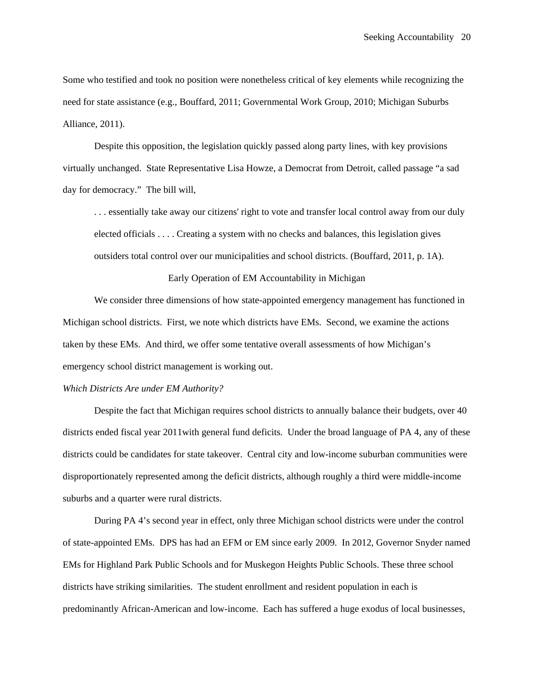Some who testified and took no position were nonetheless critical of key elements while recognizing the need for state assistance (e.g., Bouffard, 2011; Governmental Work Group, 2010; Michigan Suburbs Alliance, 2011).

Despite this opposition, the legislation quickly passed along party lines, with key provisions virtually unchanged. State Representative Lisa Howze, a Democrat from Detroit, called passage "a sad day for democracy." The bill will,

. . . essentially take away our citizens' right to vote and transfer local control away from our duly elected officials . . . . Creating a system with no checks and balances, this legislation gives outsiders total control over our municipalities and school districts. (Bouffard, 2011, p. 1A).

Early Operation of EM Accountability in Michigan

We consider three dimensions of how state-appointed emergency management has functioned in Michigan school districts. First, we note which districts have EMs. Second, we examine the actions taken by these EMs. And third, we offer some tentative overall assessments of how Michigan's emergency school district management is working out.

# *Which Districts Are under EM Authority?*

Despite the fact that Michigan requires school districts to annually balance their budgets, over 40 districts ended fiscal year 2011with general fund deficits. Under the broad language of PA 4, any of these districts could be candidates for state takeover. Central city and low-income suburban communities were disproportionately represented among the deficit districts, although roughly a third were middle-income suburbs and a quarter were rural districts.

During PA 4's second year in effect, only three Michigan school districts were under the control of state-appointed EMs. DPS has had an EFM or EM since early 2009. In 2012, Governor Snyder named EMs for Highland Park Public Schools and for Muskegon Heights Public Schools. These three school districts have striking similarities. The student enrollment and resident population in each is predominantly African-American and low-income. Each has suffered a huge exodus of local businesses,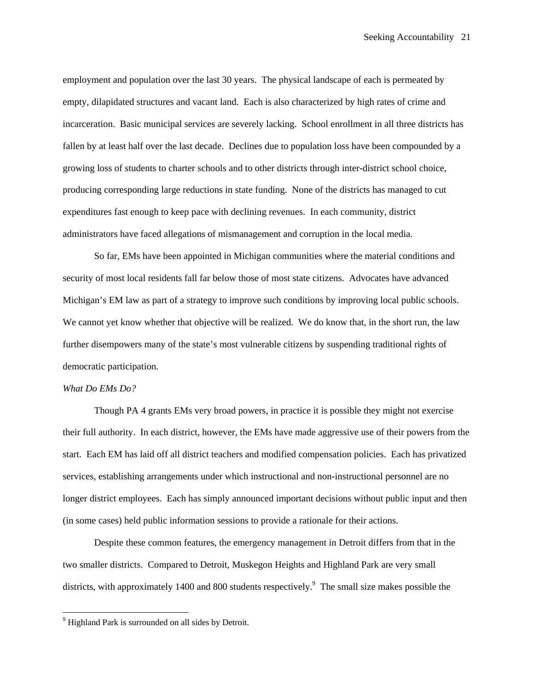employment and population over the last 30 years. The physical landscape of each is permeated by empty, dilapidated structures and vacant land. Each is also characterized by high rates of crime and incarceration. Basic municipal services are severely lacking. School enrollment in all three districts has fallen by at least half over the last decade. Declines due to population loss have been compounded by a growing loss of students to charter schools and to other districts through inter-district school choice, producing corresponding large reductions in state funding. None of the districts has managed to cut expenditures fast enough to keep pace with declining revenues. In each community, district administrators have faced allegations of mismanagement and corruption in the local media.

So far, EMs have been appointed in Michigan communities where the material conditions and security of most local residents fall far below those of most state citizens. Advocates have advanced Michigan's EM law as part of a strategy to improve such conditions by improving local public schools. We cannot yet know whether that objective will be realized. We do know that, in the short run, the law further disempowers many of the state's most vulnerable citizens by suspending traditional rights of democratic participation.

# *What Do EMs Do?*

Though PA 4 grants EMs very broad powers, in practice it is possible they might not exercise their full authority. In each district, however, the EMs have made aggressive use of their powers from the start. Each EM has laid off all district teachers and modified compensation policies. Each has privatized services, establishing arrangements under which instructional and non-instructional personnel are no longer district employees. Each has simply announced important decisions without public input and then (in some cases) held public information sessions to provide a rationale for their actions.

Despite these common features, the emergency management in Detroit differs from that in the two smaller districts. Compared to Detroit, Muskegon Heights and Highland Park are very small districts, with approximately 1400 and 800 students respectively.<sup>9</sup> The small size makes possible the

<sup>&</sup>lt;sup>9</sup> Highland Park is surrounded on all sides by Detroit.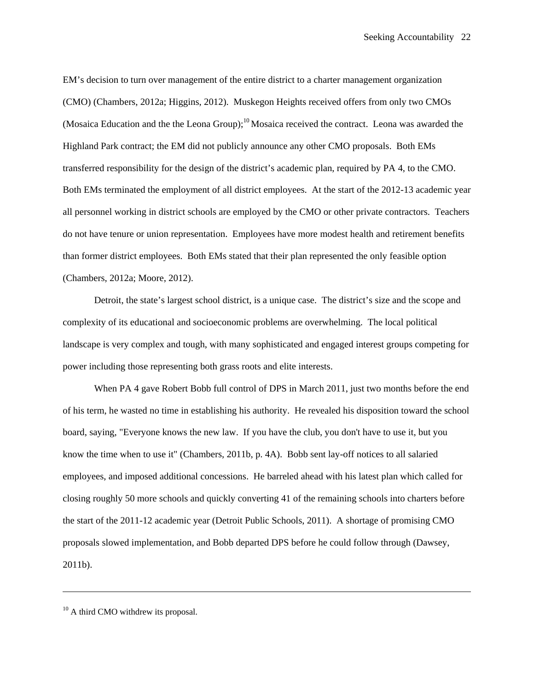EM's decision to turn over management of the entire district to a charter management organization (CMO) (Chambers, 2012a; Higgins, 2012). Muskegon Heights received offers from only two CMOs (Mosaica Education and the the Leona Group);<sup>10</sup> Mosaica received the contract. Leona was awarded the Highland Park contract; the EM did not publicly announce any other CMO proposals. Both EMs transferred responsibility for the design of the district's academic plan, required by PA 4, to the CMO. Both EMs terminated the employment of all district employees. At the start of the 2012-13 academic year all personnel working in district schools are employed by the CMO or other private contractors. Teachers do not have tenure or union representation. Employees have more modest health and retirement benefits than former district employees. Both EMs stated that their plan represented the only feasible option (Chambers, 2012a; Moore, 2012).

Detroit, the state's largest school district, is a unique case. The district's size and the scope and complexity of its educational and socioeconomic problems are overwhelming. The local political landscape is very complex and tough, with many sophisticated and engaged interest groups competing for power including those representing both grass roots and elite interests.

When PA 4 gave Robert Bobb full control of DPS in March 2011, just two months before the end of his term, he wasted no time in establishing his authority. He revealed his disposition toward the school board, saying, "Everyone knows the new law. If you have the club, you don't have to use it, but you know the time when to use it" (Chambers, 2011b, p. 4A). Bobb sent lay-off notices to all salaried employees, and imposed additional concessions. He barreled ahead with his latest plan which called for closing roughly 50 more schools and quickly converting 41 of the remaining schools into charters before the start of the 2011-12 academic year (Detroit Public Schools, 2011). A shortage of promising CMO proposals slowed implementation, and Bobb departed DPS before he could follow through (Dawsey, 2011b).

<u> Andrewski politika (za obrazu pod predsjednika u predsjednika u predsjednika u predsjednika (za obrazu pod p</u>

 $10$  A third CMO withdrew its proposal.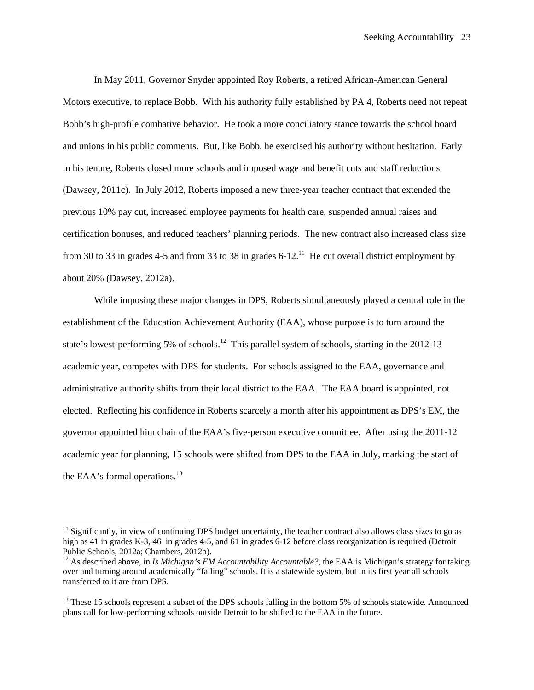In May 2011, Governor Snyder appointed Roy Roberts, a retired African-American General Motors executive, to replace Bobb. With his authority fully established by PA 4, Roberts need not repeat Bobb's high-profile combative behavior. He took a more conciliatory stance towards the school board and unions in his public comments. But, like Bobb, he exercised his authority without hesitation. Early in his tenure, Roberts closed more schools and imposed wage and benefit cuts and staff reductions (Dawsey, 2011c). In July 2012, Roberts imposed a new three-year teacher contract that extended the previous 10% pay cut, increased employee payments for health care, suspended annual raises and certification bonuses, and reduced teachers' planning periods. The new contract also increased class size from 30 to 33 in grades 4-5 and from 33 to 38 in grades 6-12.<sup>11</sup> He cut overall district employment by about 20% (Dawsey, 2012a).

While imposing these major changes in DPS, Roberts simultaneously played a central role in the establishment of the Education Achievement Authority (EAA), whose purpose is to turn around the state's lowest-performing 5% of schools.<sup>12</sup> This parallel system of schools, starting in the 2012-13 academic year, competes with DPS for students. For schools assigned to the EAA, governance and administrative authority shifts from their local district to the EAA. The EAA board is appointed, not elected. Reflecting his confidence in Roberts scarcely a month after his appointment as DPS's EM, the governor appointed him chair of the EAA's five-person executive committee. After using the 2011-12 academic year for planning, 15 schools were shifted from DPS to the EAA in July, marking the start of the EAA's formal operations. $^{13}$ 

 $11$  Significantly, in view of continuing DPS budget uncertainty, the teacher contract also allows class sizes to go as high as 41 in grades K-3, 46 in grades 4-5, and 61 in grades 6-12 before class reorganization is required (Detroit Public Schools, 2012a; Chambers, 2012b).

<sup>&</sup>lt;sup>12</sup> As described above, in *Is Michigan's EM Accountability Accountable?*, the EAA is Michigan's strategy for taking over and turning around academically "failing" schools. It is a statewide system, but in its first year all schools transferred to it are from DPS.

 $13$  These 15 schools represent a subset of the DPS schools falling in the bottom 5% of schools statewide. Announced plans call for low-performing schools outside Detroit to be shifted to the EAA in the future.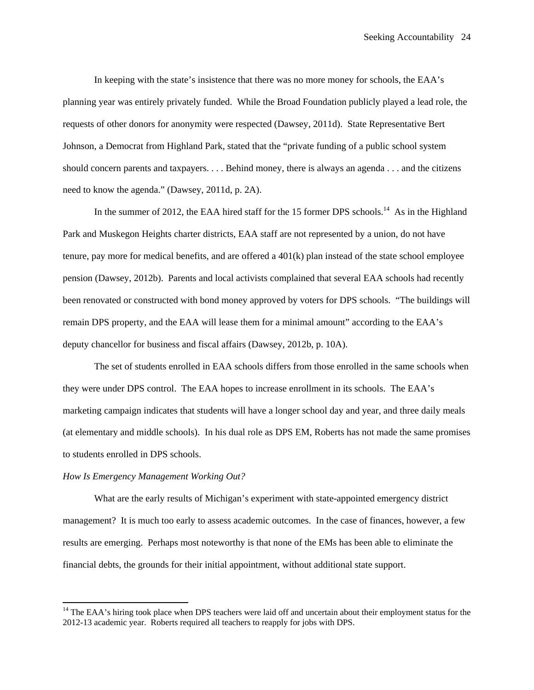In keeping with the state's insistence that there was no more money for schools, the EAA's planning year was entirely privately funded. While the Broad Foundation publicly played a lead role, the requests of other donors for anonymity were respected (Dawsey, 2011d). State Representative Bert Johnson, a Democrat from Highland Park, stated that the "private funding of a public school system should concern parents and taxpayers. . . . Behind money, there is always an agenda . . . and the citizens need to know the agenda." (Dawsey, 2011d, p. 2A).

In the summer of 2012, the EAA hired staff for the 15 former DPS schools.<sup>14</sup> As in the Highland Park and Muskegon Heights charter districts, EAA staff are not represented by a union, do not have tenure, pay more for medical benefits, and are offered a 401(k) plan instead of the state school employee pension (Dawsey, 2012b). Parents and local activists complained that several EAA schools had recently been renovated or constructed with bond money approved by voters for DPS schools. "The buildings will remain DPS property, and the EAA will lease them for a minimal amount" according to the EAA's deputy chancellor for business and fiscal affairs (Dawsey, 2012b, p. 10A).

The set of students enrolled in EAA schools differs from those enrolled in the same schools when they were under DPS control. The EAA hopes to increase enrollment in its schools. The EAA's marketing campaign indicates that students will have a longer school day and year, and three daily meals (at elementary and middle schools). In his dual role as DPS EM, Roberts has not made the same promises to students enrolled in DPS schools.

#### *How Is Emergency Management Working Out?*

What are the early results of Michigan's experiment with state-appointed emergency district management? It is much too early to assess academic outcomes. In the case of finances, however, a few results are emerging. Perhaps most noteworthy is that none of the EMs has been able to eliminate the financial debts, the grounds for their initial appointment, without additional state support.

<sup>&</sup>lt;sup>14</sup> The EAA's hiring took place when DPS teachers were laid off and uncertain about their employment status for the 2012-13 academic year. Roberts required all teachers to reapply for jobs with DPS.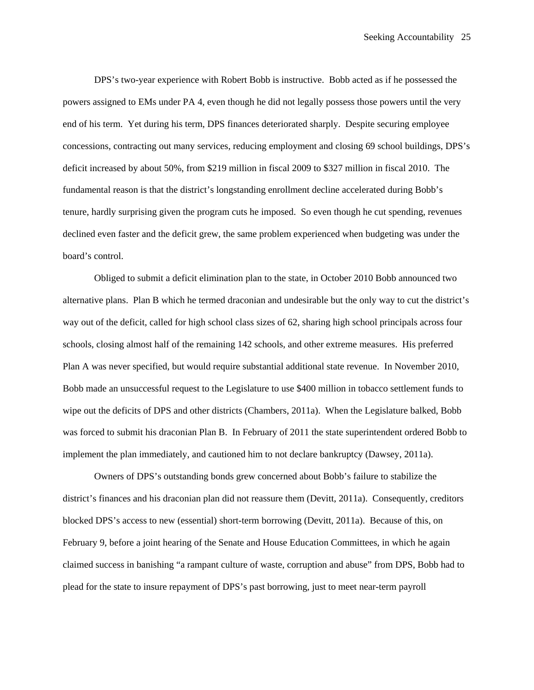DPS's two-year experience with Robert Bobb is instructive. Bobb acted as if he possessed the powers assigned to EMs under PA 4, even though he did not legally possess those powers until the very end of his term. Yet during his term, DPS finances deteriorated sharply. Despite securing employee concessions, contracting out many services, reducing employment and closing 69 school buildings, DPS's deficit increased by about 50%, from \$219 million in fiscal 2009 to \$327 million in fiscal 2010. The fundamental reason is that the district's longstanding enrollment decline accelerated during Bobb's tenure, hardly surprising given the program cuts he imposed. So even though he cut spending, revenues declined even faster and the deficit grew, the same problem experienced when budgeting was under the board's control.

Obliged to submit a deficit elimination plan to the state, in October 2010 Bobb announced two alternative plans. Plan B which he termed draconian and undesirable but the only way to cut the district's way out of the deficit, called for high school class sizes of 62, sharing high school principals across four schools, closing almost half of the remaining 142 schools, and other extreme measures. His preferred Plan A was never specified, but would require substantial additional state revenue. In November 2010, Bobb made an unsuccessful request to the Legislature to use \$400 million in tobacco settlement funds to wipe out the deficits of DPS and other districts (Chambers, 2011a). When the Legislature balked, Bobb was forced to submit his draconian Plan B. In February of 2011 the state superintendent ordered Bobb to implement the plan immediately, and cautioned him to not declare bankruptcy (Dawsey, 2011a).

Owners of DPS's outstanding bonds grew concerned about Bobb's failure to stabilize the district's finances and his draconian plan did not reassure them (Devitt, 2011a). Consequently, creditors blocked DPS's access to new (essential) short-term borrowing (Devitt, 2011a). Because of this, on February 9, before a joint hearing of the Senate and House Education Committees, in which he again claimed success in banishing "a rampant culture of waste, corruption and abuse" from DPS, Bobb had to plead for the state to insure repayment of DPS's past borrowing, just to meet near-term payroll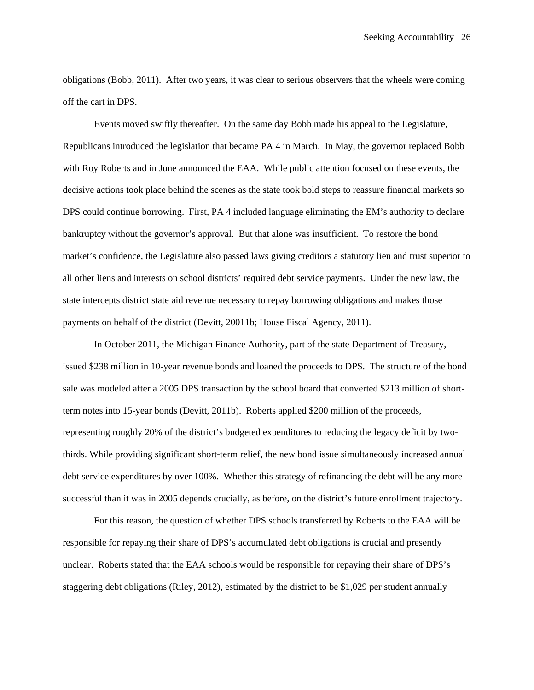obligations (Bobb, 2011). After two years, it was clear to serious observers that the wheels were coming off the cart in DPS.

Events moved swiftly thereafter. On the same day Bobb made his appeal to the Legislature, Republicans introduced the legislation that became PA 4 in March. In May, the governor replaced Bobb with Roy Roberts and in June announced the EAA. While public attention focused on these events, the decisive actions took place behind the scenes as the state took bold steps to reassure financial markets so DPS could continue borrowing. First, PA 4 included language eliminating the EM's authority to declare bankruptcy without the governor's approval. But that alone was insufficient. To restore the bond market's confidence, the Legislature also passed laws giving creditors a statutory lien and trust superior to all other liens and interests on school districts' required debt service payments. Under the new law, the state intercepts district state aid revenue necessary to repay borrowing obligations and makes those payments on behalf of the district (Devitt, 20011b; House Fiscal Agency, 2011).

In October 2011, the Michigan Finance Authority, part of the state Department of Treasury, issued \$238 million in 10-year revenue bonds and loaned the proceeds to DPS. The structure of the bond sale was modeled after a 2005 DPS transaction by the school board that converted \$213 million of shortterm notes into 15-year bonds (Devitt, 2011b). Roberts applied \$200 million of the proceeds, representing roughly 20% of the district's budgeted expenditures to reducing the legacy deficit by twothirds. While providing significant short-term relief, the new bond issue simultaneously increased annual debt service expenditures by over 100%. Whether this strategy of refinancing the debt will be any more successful than it was in 2005 depends crucially, as before, on the district's future enrollment trajectory.

For this reason, the question of whether DPS schools transferred by Roberts to the EAA will be responsible for repaying their share of DPS's accumulated debt obligations is crucial and presently unclear. Roberts stated that the EAA schools would be responsible for repaying their share of DPS's staggering debt obligations (Riley, 2012), estimated by the district to be \$1,029 per student annually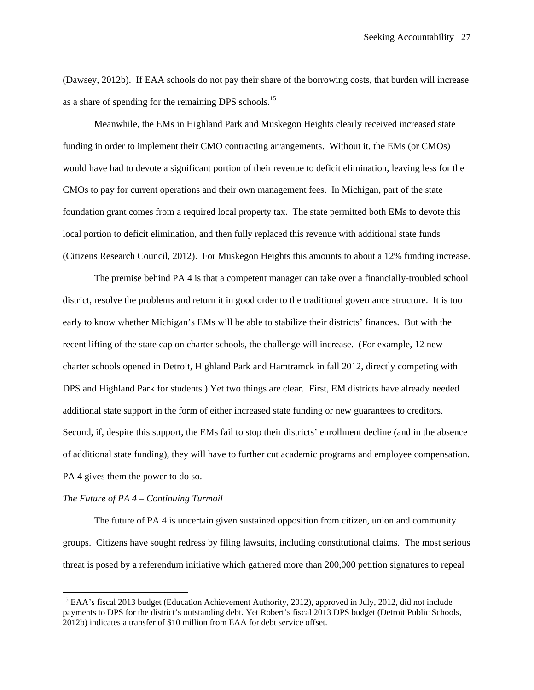(Dawsey, 2012b). If EAA schools do not pay their share of the borrowing costs, that burden will increase as a share of spending for the remaining DPS schools.<sup>15</sup>

Meanwhile, the EMs in Highland Park and Muskegon Heights clearly received increased state funding in order to implement their CMO contracting arrangements. Without it, the EMs (or CMOs) would have had to devote a significant portion of their revenue to deficit elimination, leaving less for the CMOs to pay for current operations and their own management fees. In Michigan, part of the state foundation grant comes from a required local property tax. The state permitted both EMs to devote this local portion to deficit elimination, and then fully replaced this revenue with additional state funds (Citizens Research Council, 2012). For Muskegon Heights this amounts to about a 12% funding increase.

The premise behind PA 4 is that a competent manager can take over a financially-troubled school district, resolve the problems and return it in good order to the traditional governance structure. It is too early to know whether Michigan's EMs will be able to stabilize their districts' finances. But with the recent lifting of the state cap on charter schools, the challenge will increase. (For example, 12 new charter schools opened in Detroit, Highland Park and Hamtramck in fall 2012, directly competing with DPS and Highland Park for students.) Yet two things are clear. First, EM districts have already needed additional state support in the form of either increased state funding or new guarantees to creditors. Second, if, despite this support, the EMs fail to stop their districts' enrollment decline (and in the absence of additional state funding), they will have to further cut academic programs and employee compensation. PA 4 gives them the power to do so.

# *The Future of PA 4 – Continuing Turmoil*

The future of PA 4 is uncertain given sustained opposition from citizen, union and community groups. Citizens have sought redress by filing lawsuits, including constitutional claims. The most serious threat is posed by a referendum initiative which gathered more than 200,000 petition signatures to repeal

<sup>&</sup>lt;sup>15</sup> EAA's fiscal 2013 budget (Education Achievement Authority, 2012), approved in July, 2012, did not include payments to DPS for the district's outstanding debt. Yet Robert's fiscal 2013 DPS budget (Detroit Public Schools, 2012b) indicates a transfer of \$10 million from EAA for debt service offset.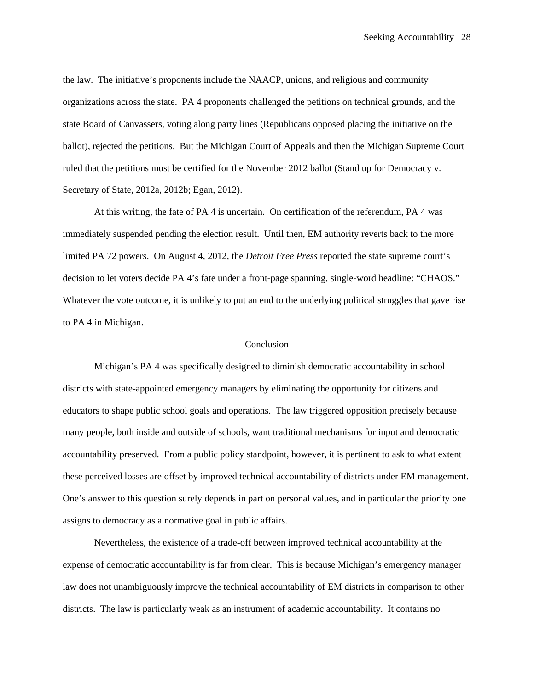the law. The initiative's proponents include the NAACP, unions, and religious and community organizations across the state. PA 4 proponents challenged the petitions on technical grounds, and the state Board of Canvassers, voting along party lines (Republicans opposed placing the initiative on the ballot), rejected the petitions. But the Michigan Court of Appeals and then the Michigan Supreme Court ruled that the petitions must be certified for the November 2012 ballot (Stand up for Democracy v. Secretary of State, 2012a, 2012b; Egan, 2012).

At this writing, the fate of PA 4 is uncertain. On certification of the referendum, PA 4 was immediately suspended pending the election result. Until then, EM authority reverts back to the more limited PA 72 powers. On August 4, 2012, the *Detroit Free Press* reported the state supreme court's decision to let voters decide PA 4's fate under a front-page spanning, single-word headline: "CHAOS." Whatever the vote outcome, it is unlikely to put an end to the underlying political struggles that gave rise to PA 4 in Michigan.

# Conclusion

Michigan's PA 4 was specifically designed to diminish democratic accountability in school districts with state-appointed emergency managers by eliminating the opportunity for citizens and educators to shape public school goals and operations. The law triggered opposition precisely because many people, both inside and outside of schools, want traditional mechanisms for input and democratic accountability preserved. From a public policy standpoint, however, it is pertinent to ask to what extent these perceived losses are offset by improved technical accountability of districts under EM management. One's answer to this question surely depends in part on personal values, and in particular the priority one assigns to democracy as a normative goal in public affairs.

Nevertheless, the existence of a trade-off between improved technical accountability at the expense of democratic accountability is far from clear. This is because Michigan's emergency manager law does not unambiguously improve the technical accountability of EM districts in comparison to other districts. The law is particularly weak as an instrument of academic accountability. It contains no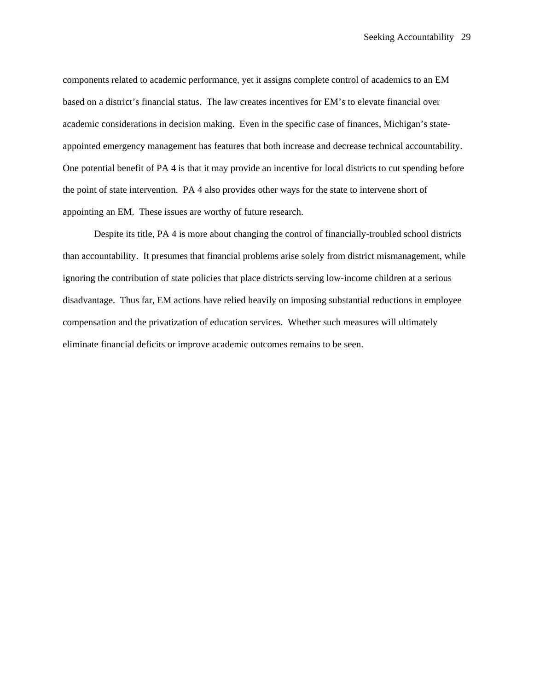components related to academic performance, yet it assigns complete control of academics to an EM based on a district's financial status. The law creates incentives for EM's to elevate financial over academic considerations in decision making. Even in the specific case of finances, Michigan's stateappointed emergency management has features that both increase and decrease technical accountability. One potential benefit of PA 4 is that it may provide an incentive for local districts to cut spending before the point of state intervention. PA 4 also provides other ways for the state to intervene short of appointing an EM. These issues are worthy of future research.

Despite its title, PA 4 is more about changing the control of financially-troubled school districts than accountability. It presumes that financial problems arise solely from district mismanagement, while ignoring the contribution of state policies that place districts serving low-income children at a serious disadvantage. Thus far, EM actions have relied heavily on imposing substantial reductions in employee compensation and the privatization of education services. Whether such measures will ultimately eliminate financial deficits or improve academic outcomes remains to be seen.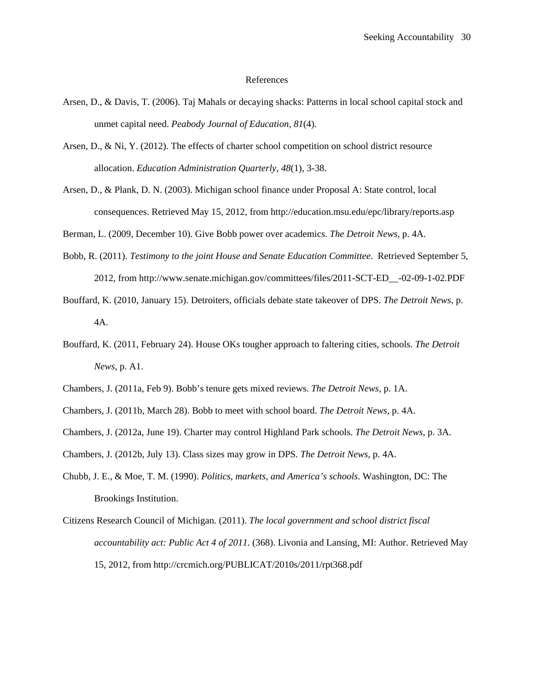#### References

- Arsen, D., & Davis, T. (2006). Taj Mahals or decaying shacks: Patterns in local school capital stock and unmet capital need. *Peabody Journal of Education, 81*(4).
- Arsen, D., & Ni, Y. (2012). The effects of charter school competition on school district resource allocation. *Education Administration Quarterly, 48*(1), 3-38.
- Arsen, D., & Plank, D. N. (2003). Michigan school finance under Proposal A: State control, local consequences. Retrieved May 15, 2012, from http://education.msu.edu/epc/library/reports.asp
- Berman, L. (2009, December 10). Give Bobb power over academics. *The Detroit News,* p. 4A.
- Bobb, R. (2011). *Testimony to the joint House and Senate Education Committee*. Retrieved September 5, 2012, from http://www.senate.michigan.gov/committees/files/2011-SCT-ED\_\_-02-09-1-02.PDF
- Bouffard, K. (2010, January 15). Detroiters, officials debate state takeover of DPS. *The Detroit News,* p. 4A.
- Bouffard, K. (2011, February 24). House OKs tougher approach to faltering cities, schools. *The Detroit News,* p. A1.
- Chambers, J. (2011a, Feb 9). Bobb's tenure gets mixed reviews. *The Detroit News,* p. 1A.
- Chambers, J. (2011b, March 28). Bobb to meet with school board. *The Detroit News*, p. 4A.
- Chambers, J. (2012a, June 19). Charter may control Highland Park schools. *The Detroit News,* p. 3A.
- Chambers, J. (2012b, July 13). Class sizes may grow in DPS. *The Detroit News,* p. 4A.
- Chubb, J. E., & Moe, T. M. (1990). *Politics, markets, and America's schools*. Washington, DC: The Brookings Institution.
- Citizens Research Council of Michigan. (2011). *The local government and school district fiscal accountability act: Public Act 4 of 2011.* (368). Livonia and Lansing, MI: Author. Retrieved May 15, 2012, from http://crcmich.org/PUBLICAT/2010s/2011/rpt368.pdf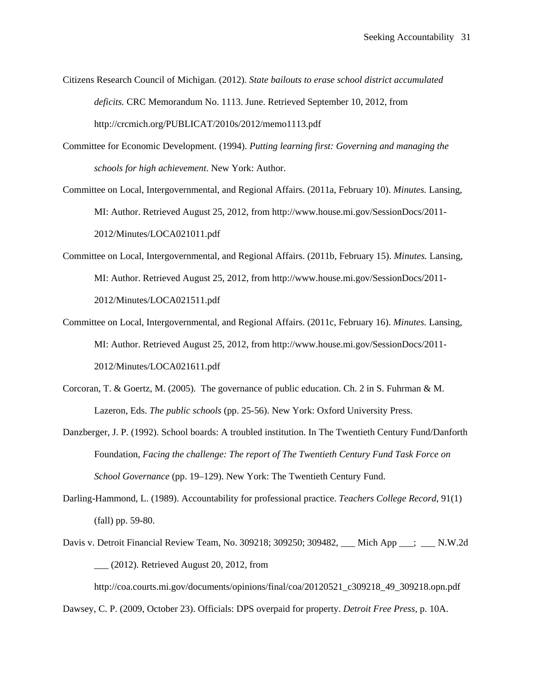- Citizens Research Council of Michigan. (2012). *State bailouts to erase school district accumulated deficits.* CRC Memorandum No. 1113. June. Retrieved September 10, 2012, from http://crcmich.org/PUBLICAT/2010s/2012/memo1113.pdf
- Committee for Economic Development. (1994). *Putting learning first: Governing and managing the schools for high achievement*. New York: Author.
- Committee on Local, Intergovernmental, and Regional Affairs. (2011a, February 10). *Minutes.* Lansing, MI: Author. Retrieved August 25, 2012, from http://www.house.mi.gov/SessionDocs/2011- 2012/Minutes/LOCA021011.pdf
- Committee on Local, Intergovernmental, and Regional Affairs. (2011b, February 15). *Minutes.* Lansing, MI: Author. Retrieved August 25, 2012, from http://www.house.mi.gov/SessionDocs/2011- 2012/Minutes/LOCA021511.pdf
- Committee on Local, Intergovernmental, and Regional Affairs. (2011c, February 16). *Minutes.* Lansing, MI: Author. Retrieved August 25, 2012, from http://www.house.mi.gov/SessionDocs/2011- 2012/Minutes/LOCA021611.pdf
- Corcoran, T. & Goertz, M. (2005). The governance of public education. Ch. 2 in S. Fuhrman & M. Lazeron, Eds. *The public schools* (pp. 25-56). New York: Oxford University Press.
- Danzberger, J. P. (1992). School boards: A troubled institution. In The Twentieth Century Fund/Danforth Foundation, *Facing the challenge: The report of The Twentieth Century Fund Task Force on School Governance* (pp. 19–129). New York: The Twentieth Century Fund.
- Darling-Hammond, L. (1989). Accountability for professional practice. *Teachers College Record*, 91(1) (fall) pp. 59-80.
- Davis v. Detroit Financial Review Team, No. 309218; 309250; 309482, Mich App : N.W.2d \_\_\_ (2012). Retrieved August 20, 2012, from

http://coa.courts.mi.gov/documents/opinions/final/coa/20120521\_c309218\_49\_309218.opn.pdf

Dawsey, C. P. (2009, October 23). Officials: DPS overpaid for property. *Detroit Free Press,* p. 10A.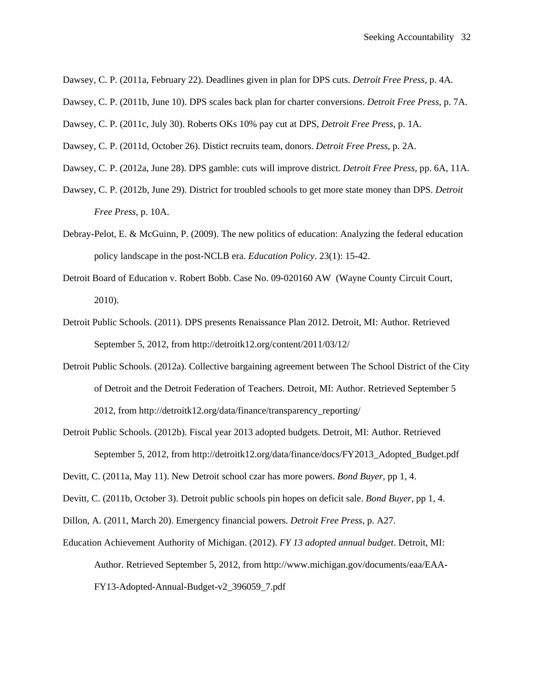Dawsey, C. P. (2011a, February 22). Deadlines given in plan for DPS cuts. *Detroit Free Press*, p. 4A*.*

- Dawsey, C. P. (2011b, June 10). DPS scales back plan for charter conversions. *Detroit Free Press*, p. 7A.
- Dawsey, C. P. (2011c, July 30). Roberts OKs 10% pay cut at DPS, *Detroit Free Press,* p. 1A.

Dawsey, C. P. (2011d, October 26). Distict recruits team, donors. *Detroit Free Press*, p. 2A.

- Dawsey, C. P. (2012a, June 28). DPS gamble: cuts will improve district. *Detroit Free Press,* pp. 6A, 11A.
- Dawsey, C. P. (2012b, June 29). District for troubled schools to get more state money than DPS. *Detroit Free Press*, p. 10A.
- Debray-Pelot, E. & McGuinn, P. (2009). The new politics of education: Analyzing the federal education policy landscape in the post-NCLB era. *Education Policy*. 23(1): 15-42.
- Detroit Board of Education v. Robert Bobb. Case No. 09-020160 AW (Wayne County Circuit Court, 2010).
- Detroit Public Schools. (2011). DPS presents Renaissance Plan 2012. Detroit, MI: Author. Retrieved September 5, 2012, from http://detroitk12.org/content/2011/03/12/
- Detroit Public Schools. (2012a). Collective bargaining agreement between The School District of the City of Detroit and the Detroit Federation of Teachers. Detroit, MI: Author. Retrieved September 5 2012, from http://detroitk12.org/data/finance/transparency\_reporting/
- Detroit Public Schools. (2012b). Fiscal year 2013 adopted budgets. Detroit, MI: Author. Retrieved September 5, 2012, from http://detroitk12.org/data/finance/docs/FY2013\_Adopted\_Budget.pdf

Devitt, C. (2011a, May 11). New Detroit school czar has more powers. *Bond Buyer,* pp 1, 4.

Devitt, C. (2011b, October 3). Detroit public schools pin hopes on deficit sale. *Bond Buyer,* pp 1, 4.

Dillon, A. (2011, March 20). Emergency financial powers. *Detroit Free Press*, p. A27.

Education Achievement Authority of Michigan. (2012). *FY 13 adopted annual budget*. Detroit, MI: Author. Retrieved September 5, 2012, from http://www.michigan.gov/documents/eaa/EAA-FY13-Adopted-Annual-Budget-v2\_396059\_7.pdf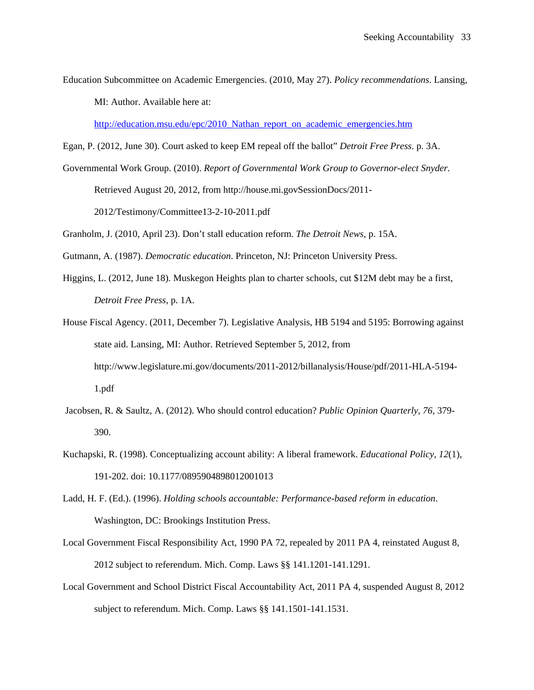Education Subcommittee on Academic Emergencies. (2010, May 27). *Policy recommendations.* Lansing, MI: Author. Available here at:

http://education.msu.edu/epc/2010\_Nathan\_report\_on\_academic\_emergencies.htm

Egan, P. (2012, June 30). Court asked to keep EM repeal off the ballot" *Detroit Free Press*. p. 3A.

Governmental Work Group. (2010). *Report of Governmental Work Group to Governor-elect Snyder.*  Retrieved August 20, 2012, from http://house.mi.govSessionDocs/2011- 2012/Testimony/Committee13-2-10-2011.pdf

Granholm, J. (2010, April 23). Don't stall education reform. *The Detroit News*, p. 15A.

Gutmann, A. (1987). *Democratic education*. Princeton, NJ: Princeton University Press.

- Higgins, L. (2012, June 18). Muskegon Heights plan to charter schools, cut \$12M debt may be a first, *Detroit Free Press,* p. 1A.
- House Fiscal Agency. (2011, December 7). Legislative Analysis, HB 5194 and 5195: Borrowing against state aid. Lansing, MI: Author. Retrieved September 5, 2012, from http://www.legislature.mi.gov/documents/2011-2012/billanalysis/House/pdf/2011-HLA-5194- 1.pdf
- Jacobsen, R. & Saultz, A. (2012). Who should control education? *Public Opinion Quarterly, 76,* 379- 390.
- Kuchapski, R. (1998). Conceptualizing account ability: A liberal framework. *Educational Policy, 12*(1), 191-202. doi: 10.1177/0895904898012001013
- Ladd, H. F. (Ed.). (1996). *Holding schools accountable: Performance-based reform in education*. Washington, DC: Brookings Institution Press.
- Local Government Fiscal Responsibility Act, 1990 PA 72, repealed by 2011 PA 4, reinstated August 8, 2012 subject to referendum. Mich. Comp. Laws §§ 141.1201-141.1291.
- Local Government and School District Fiscal Accountability Act, 2011 PA 4, suspended August 8, 2012 subject to referendum. Mich. Comp. Laws §§ 141.1501-141.1531.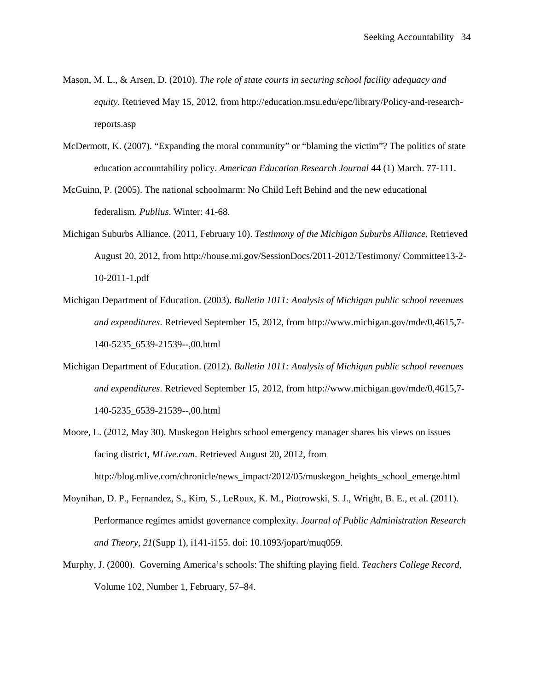- Mason, M. L., & Arsen, D. (2010). *The role of state courts in securing school facility adequacy and equity*. Retrieved May 15, 2012, from http://education.msu.edu/epc/library/Policy-and-researchreports.asp
- McDermott, K. (2007). "Expanding the moral community" or "blaming the victim"? The politics of state education accountability policy. *American Education Research Journal* 44 (1) March. 77-111.
- McGuinn, P. (2005). The national schoolmarm: No Child Left Behind and the new educational federalism. *Publius*. Winter: 41-68.
- Michigan Suburbs Alliance. (2011, February 10). *Testimony of the Michigan Suburbs Alliance*. Retrieved August 20, 2012, from http://house.mi.gov/SessionDocs/2011-2012/Testimony/ Committee13-2- 10-2011-1.pdf
- Michigan Department of Education. (2003). *Bulletin 1011: Analysis of Michigan public school revenues and expenditures*. Retrieved September 15, 2012, from http://www.michigan.gov/mde/0,4615,7- 140-5235\_6539-21539--,00.html
- Michigan Department of Education. (2012). *Bulletin 1011: Analysis of Michigan public school revenues and expenditures*. Retrieved September 15, 2012, from http://www.michigan.gov/mde/0,4615,7- 140-5235\_6539-21539--,00.html
- Moore, L. (2012, May 30). Muskegon Heights school emergency manager shares his views on issues facing district, *MLive.com*. Retrieved August 20, 2012, from http://blog.mlive.com/chronicle/news\_impact/2012/05/muskegon\_heights\_school\_emerge.html
- Moynihan, D. P., Fernandez, S., Kim, S., LeRoux, K. M., Piotrowski, S. J., Wright, B. E., et al. (2011). Performance regimes amidst governance complexity. *Journal of Public Administration Research and Theory, 21*(Supp 1), i141-i155. doi: 10.1093/jopart/muq059.
- Murphy, J. (2000). Governing America's schools: The shifting playing field. *Teachers College Record,*  Volume 102, Number 1, February, 57–84.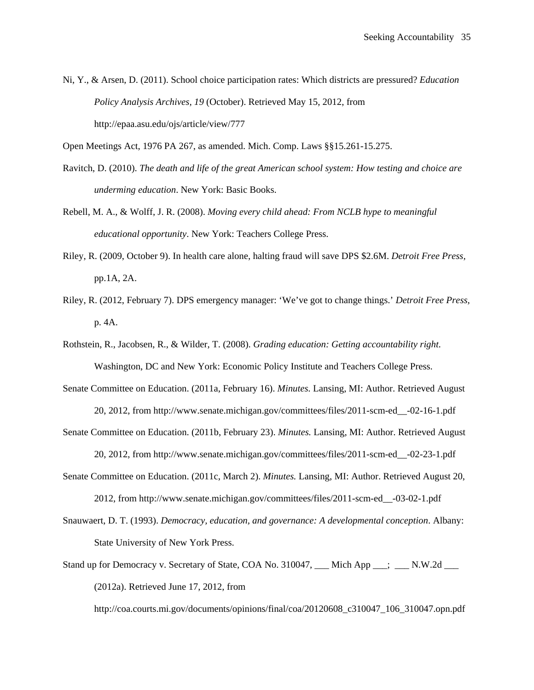Ni, Y., & Arsen, D. (2011). School choice participation rates: Which districts are pressured? *Education Policy Analysis Archives, 19* (October). Retrieved May 15, 2012, from http://epaa.asu.edu/ojs/article/view/777

Open Meetings Act, 1976 PA 267, as amended. Mich. Comp. Laws §§15.261-15.275.

- Ravitch, D. (2010). *The death and life of the great American school system: How testing and choice are underming education*. New York: Basic Books.
- Rebell, M. A., & Wolff, J. R. (2008). *Moving every child ahead: From NCLB hype to meaningful educational opportunity*. New York: Teachers College Press.
- Riley, R. (2009, October 9). In health care alone, halting fraud will save DPS \$2.6M. *Detroit Free Press,*  pp.1A, 2A.
- Riley, R. (2012, February 7). DPS emergency manager: 'We've got to change things.' *Detroit Free Press,*  p. 4A.
- Rothstein, R., Jacobsen, R., & Wilder, T. (2008). *Grading education: Getting accountability right*. Washington, DC and New York: Economic Policy Institute and Teachers College Press.
- Senate Committee on Education. (2011a, February 16). *Minutes.* Lansing, MI: Author. Retrieved August 20, 2012, from http://www.senate.michigan.gov/committees/files/2011-scm-ed\_\_-02-16-1.pdf
- Senate Committee on Education. (2011b, February 23). *Minutes.* Lansing, MI: Author. Retrieved August 20, 2012, from http://www.senate.michigan.gov/committees/files/2011-scm-ed\_\_-02-23-1.pdf
- Senate Committee on Education. (2011c, March 2). *Minutes.* Lansing, MI: Author. Retrieved August 20, 2012, from http://www.senate.michigan.gov/committees/files/2011-scm-ed\_\_-03-02-1.pdf
- Snauwaert, D. T. (1993). *Democracy, education, and governance: A developmental conception*. Albany: State University of New York Press.
- Stand up for Democracy v. Secretary of State, COA No. 310047, \_\_\_ Mich App \_\_\_; \_\_\_ N.W.2d \_\_\_ (2012a). Retrieved June 17, 2012, from

http://coa.courts.mi.gov/documents/opinions/final/coa/20120608\_c310047\_106\_310047.opn.pdf